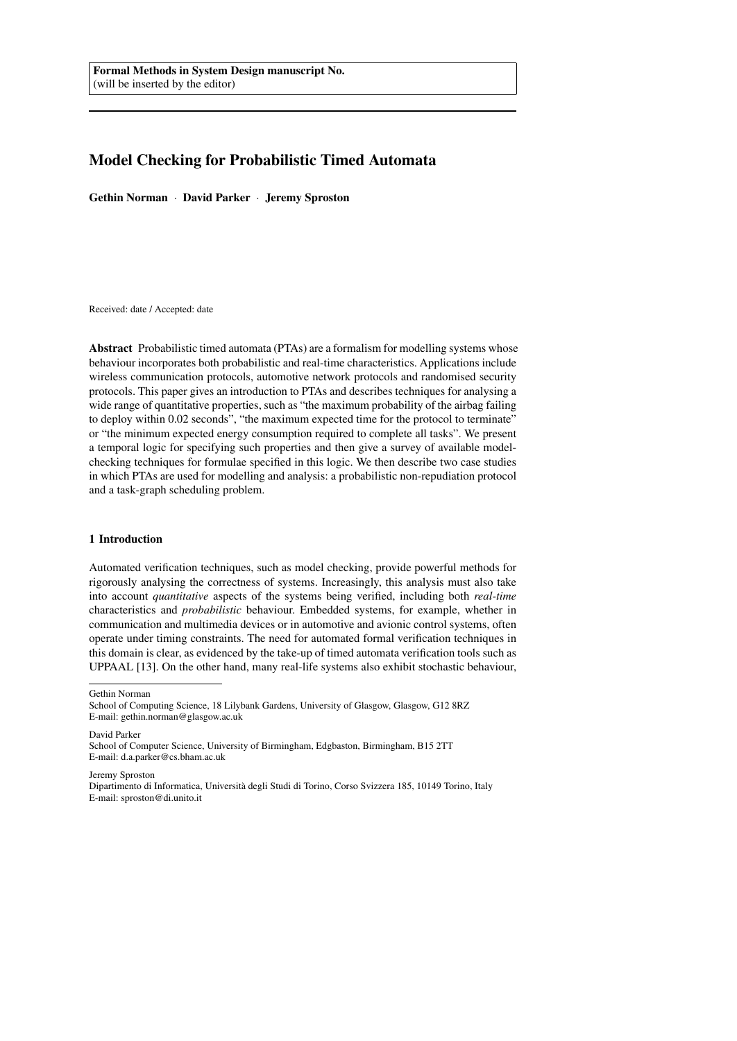# Model Checking for Probabilistic Timed Automata

Gethin Norman · David Parker · Jeremy Sproston

Received: date / Accepted: date

Abstract Probabilistic timed automata (PTAs) are a formalism for modelling systems whose behaviour incorporates both probabilistic and real-time characteristics. Applications include wireless communication protocols, automotive network protocols and randomised security protocols. This paper gives an introduction to PTAs and describes techniques for analysing a wide range of quantitative properties, such as "the maximum probability of the airbag failing to deploy within 0.02 seconds", "the maximum expected time for the protocol to terminate" or "the minimum expected energy consumption required to complete all tasks". We present a temporal logic for specifying such properties and then give a survey of available modelchecking techniques for formulae specified in this logic. We then describe two case studies in which PTAs are used for modelling and analysis: a probabilistic non-repudiation protocol and a task-graph scheduling problem.

# 1 Introduction

Automated verification techniques, such as model checking, provide powerful methods for rigorously analysing the correctness of systems. Increasingly, this analysis must also take into account *quantitative* aspects of the systems being verified, including both *real-time* characteristics and *probabilistic* behaviour. Embedded systems, for example, whether in communication and multimedia devices or in automotive and avionic control systems, often operate under timing constraints. The need for automated formal verification techniques in this domain is clear, as evidenced by the take-up of timed automata verification tools such as UPPAAL [\[13\]](#page-23-0). On the other hand, many real-life systems also exhibit stochastic behaviour,

Gethin Norman

David Parker

Jeremy Sproston

School of Computing Science, 18 Lilybank Gardens, University of Glasgow, Glasgow, G12 8RZ E-mail: gethin.norman@glasgow.ac.uk

School of Computer Science, University of Birmingham, Edgbaston, Birmingham, B15 2TT E-mail: d.a.parker@cs.bham.ac.uk

Dipartimento di Informatica, Universita degli Studi di Torino, Corso Svizzera 185, 10149 Torino, Italy ` E-mail: sproston@di.unito.it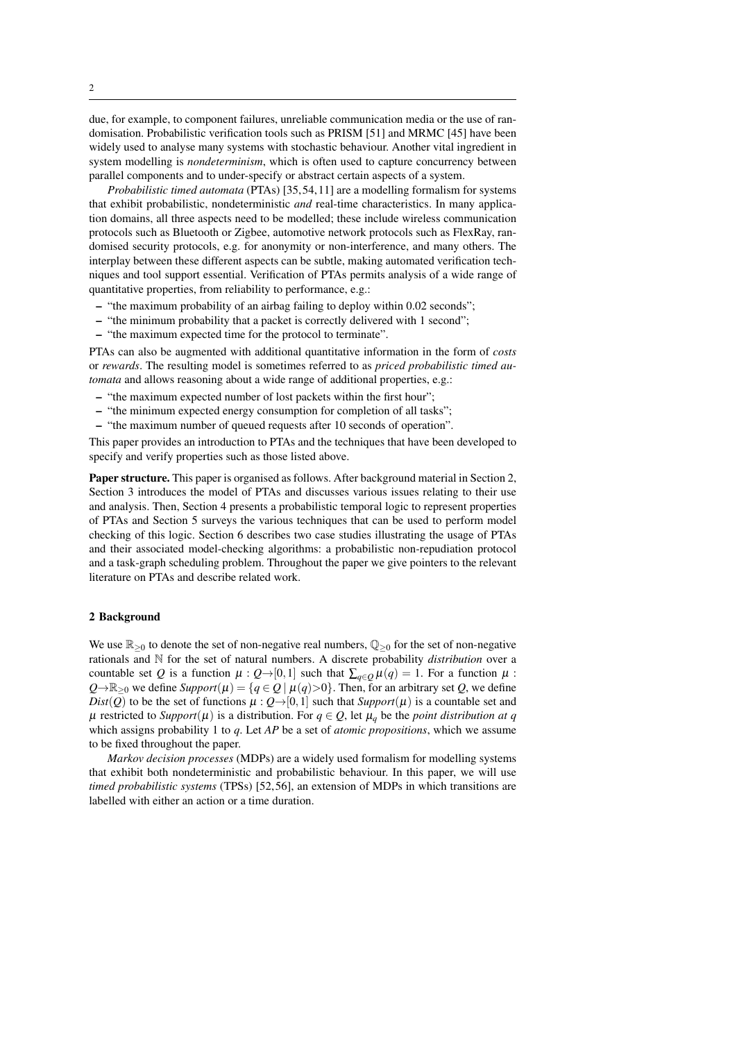due, for example, to component failures, unreliable communication media or the use of randomisation. Probabilistic verification tools such as PRISM [\[51\]](#page-24-0) and MRMC [\[45\]](#page-24-1) have been widely used to analyse many systems with stochastic behaviour. Another vital ingredient in system modelling is *nondeterminism*, which is often used to capture concurrency between parallel components and to under-specify or abstract certain aspects of a system.

*Probabilistic timed automata* (PTAs) [\[35,](#page-24-2) [54,](#page-25-0) [11\]](#page-23-1) are a modelling formalism for systems that exhibit probabilistic, nondeterministic *and* real-time characteristics. In many application domains, all three aspects need to be modelled; these include wireless communication protocols such as Bluetooth or Zigbee, automotive network protocols such as FlexRay, randomised security protocols, e.g. for anonymity or non-interference, and many others. The interplay between these different aspects can be subtle, making automated verification techniques and tool support essential. Verification of PTAs permits analysis of a wide range of quantitative properties, from reliability to performance, e.g.:

- "the maximum probability of an airbag failing to deploy within 0.02 seconds";
- "the minimum probability that a packet is correctly delivered with 1 second";
- "the maximum expected time for the protocol to terminate".

PTAs can also be augmented with additional quantitative information in the form of *costs* or *rewards*. The resulting model is sometimes referred to as *priced probabilistic timed automata* and allows reasoning about a wide range of additional properties, e.g.:

- "the maximum expected number of lost packets within the first hour";
- "the minimum expected energy consumption for completion of all tasks";
- "the maximum number of queued requests after 10 seconds of operation".

This paper provides an introduction to PTAs and the techniques that have been developed to specify and verify properties such as those listed above.

Paper structure. This paper is organised as follows. After background material in Section [2,](#page-1-0) Section [3](#page-3-0) introduces the model of PTAs and discusses various issues relating to their use and analysis. Then, Section [4](#page-7-0) presents a probabilistic temporal logic to represent properties of PTAs and Section [5](#page-10-0) surveys the various techniques that can be used to perform model checking of this logic. Section [6](#page-16-0) describes two case studies illustrating the usage of PTAs and their associated model-checking algorithms: a probabilistic non-repudiation protocol and a task-graph scheduling problem. Throughout the paper we give pointers to the relevant literature on PTAs and describe related work.

#### <span id="page-1-0"></span>2 Background

We use  $\mathbb{R}_{\geq 0}$  to denote the set of non-negative real numbers,  $\mathbb{Q}_{\geq 0}$  for the set of non-negative rationals and N for the set of natural numbers. A discrete probability *distribution* over a countable set *Q* is a function  $\mu$  :  $Q \rightarrow [0,1]$  such that  $\sum_{q \in Q} \mu(q) = 1$ . For a function  $\mu$  :  $Q\rightarrow\mathbb{R}_{\geq0}$  we define *Support*( $\mu$ ) = { $q \in Q | \mu(q) > 0$ }. Then, for an arbitrary set *Q*, we define *Dist*(*Q*) to be the set of functions  $\mu$  :  $Q\rightarrow$  [0,1] such that *Support*( $\mu$ ) is a countable set and  $\mu$  restricted to *Support*( $\mu$ ) is a distribution. For  $q \in Q$ , let  $\mu_q$  be the *point distribution at q* which assigns probability 1 to *q*. Let *AP* be a set of *atomic propositions*, which we assume to be fixed throughout the paper.

*Markov decision processes* (MDPs) are a widely used formalism for modelling systems that exhibit both nondeterministic and probabilistic behaviour. In this paper, we will use *timed probabilistic systems* (TPSs) [\[52,](#page-24-3) [56\]](#page-25-1), an extension of MDPs in which transitions are labelled with either an action or a time duration.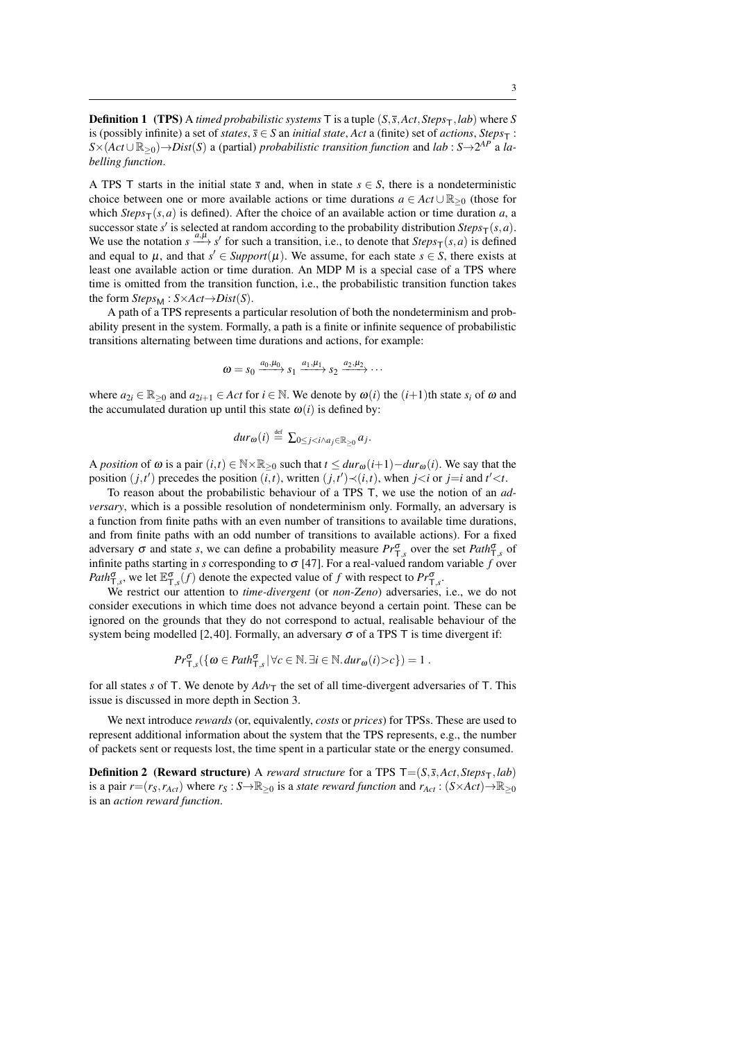**Definition 1** (TPS) A *timed probabilistic systems* T is a tuple  $(S, \overline{s}, Act, Steps_{T}, lab)$  where *S* is (possibly infinite) a set of *states*,  $\overline{s} \in S$  an *initial state*, *Act* a (finite) set of *actions*, *Steps*<sub>T</sub>:  $S \times (Act \cup \mathbb{R}_{\geq 0}) \rightarrow Dist(S)$  a (partial) *probabilistic transition function* and *lab* :  $S \rightarrow 2^{AP}$  a *labelling function*.

A TPS T starts in the initial state  $\overline{s}$  and, when in state  $s \in S$ , there is a nondeterministic choice between one or more available actions or time durations  $a \in Act \cup \mathbb{R}_{\geq 0}$  (those for which *Steps*<sub>T</sub>(*s*,*a*) is defined). After the choice of an available action or time duration *a*, a successor state *s'* is selected at random according to the probability distribution  $Steps_{T}(s, a)$ . We use the notation  $s \xrightarrow{a,\mu} s'$  for such a transition, i.e., to denote that  $Steps_{\mathsf{T}}(s,a)$  is defined and equal to  $\mu$ , and that  $s' \in Support(\mu)$ . We assume, for each state  $s \in S$ , there exists at least one available action or time duration. An MDP M is a special case of a TPS where time is omitted from the transition function, i.e., the probabilistic transition function takes the form  $Steps_{M}: S \times Act \rightarrow Dist(S)$ .

A path of a TPS represents a particular resolution of both the nondeterminism and probability present in the system. Formally, a path is a finite or infinite sequence of probabilistic transitions alternating between time durations and actions, for example:

$$
\omega = s_0 \xrightarrow{a_0,\mu_0} s_1 \xrightarrow{a_1,\mu_1} s_2 \xrightarrow{a_2,\mu_2} \cdots
$$

where  $a_{2i} \in \mathbb{R}_{\geq 0}$  and  $a_{2i+1} \in Act$  for  $i \in \mathbb{N}$ . We denote by  $\omega(i)$  the  $(i+1)$ th state  $s_i$  of  $\omega$  and the accumulated duration up until this state  $\omega(i)$  is defined by:

$$
dur_{\omega}(i) \stackrel{\text{def}}{=} \sum_{0 \leq j < i \wedge a_j \in \mathbb{R}_{\geq 0}} a_j.
$$

A *position* of  $\omega$  is a pair  $(i, t) \in \mathbb{N} \times \mathbb{R}_{\geq 0}$  such that  $t \leq dur_{\omega}(i+1) - dur_{\omega}(i)$ . We say that the position  $(j, t')$  precedes the position  $(i, t)$ , written  $(j, t') \prec (i, t)$ , when  $j \prec i$  or  $j = i$  and  $t' \prec t$ .

To reason about the probabilistic behaviour of a TPS T, we use the notion of an *adversary*, which is a possible resolution of nondeterminism only. Formally, an adversary is a function from finite paths with an even number of transitions to available time durations, and from finite paths with an odd number of transitions to available actions). For a fixed adversary  $\sigma$  and state *s*, we can define a probability measure  $Pr_{\tau,s}^{\sigma}$  over the set  $Path_{\tau,s}^{\sigma}$  of infinite paths starting in *s* corresponding to  $\sigma$  [\[47\]](#page-24-4). For a real-valued random variable *f* over *Path* $_{T,s}^{\sigma}$ , we let  $\mathbb{E}_{T,s}^{\sigma}(f)$  denote the expected value of *f* with respect to  $Pr_{T,s}^{\sigma}$ .

We restrict our attention to *time-divergent* (or *non-Zeno*) adversaries, i.e., we do not consider executions in which time does not advance beyond a certain point. These can be ignored on the grounds that they do not correspond to actual, realisable behaviour of the system being modelled [\[2,](#page-22-0)40]. Formally, an adversary  $\sigma$  of a TPS T is time divergent if:

$$
Pr^{\sigma}_{\mathsf{T},s}(\{\omega \in \textit{Path}^{\sigma}_{\mathsf{T},s} \, | \, \forall c \in \mathbb{N}. \, \exists i \in \mathbb{N}. \, \textit{dur}_{\omega}(i) > c\}) = 1 \, .
$$

for all states *s* of T. We denote by  $Adv_{\mathsf{T}}$  the set of all time-divergent adversaries of T. This issue is discussed in more depth in Section [3.](#page-3-0)

We next introduce *rewards* (or, equivalently, *costs* or *prices*) for TPSs. These are used to represent additional information about the system that the TPS represents, e.g., the number of packets sent or requests lost, the time spent in a particular state or the energy consumed.

**Definition 2** (**Reward structure**) A *reward structure* for a TPS  $T = (S, \bar{s}, Act, Steps_{T}, lab)$ is a pair  $r=(r_S, r_{Act})$  where  $r_S : S \to \mathbb{R}_{\geq 0}$  is a *state reward function* and  $r_{Act} : (S \times Act) \to \mathbb{R}_{\geq 0}$ is an *action reward function*.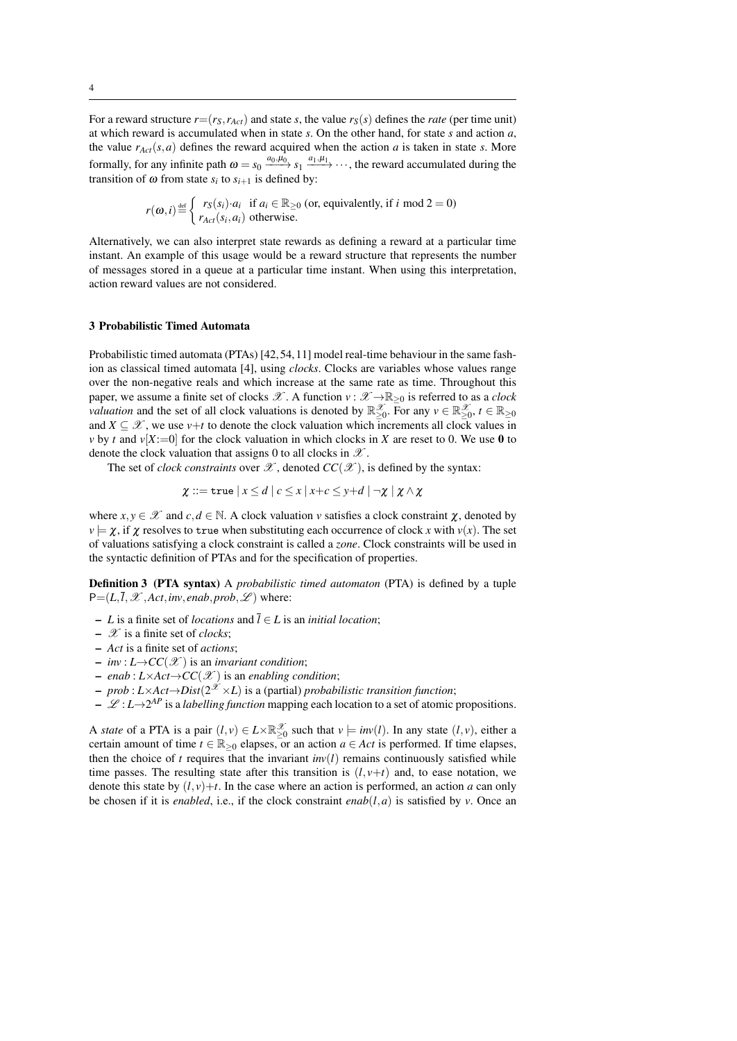For a reward structure  $r=(r_S, r_{Act})$  and state *s*, the value  $r_S(s)$  defines the *rate* (per time unit) at which reward is accumulated when in state *s*. On the other hand, for state *s* and action *a*, the value  $r_{Act}(s, a)$  defines the reward acquired when the action *a* is taken in state *s*. More formally, for any infinite path  $\omega = s_0 \xrightarrow{a_0,\mu_0} s_1 \xrightarrow{a_1,\mu_1} \cdots$ , the reward accumulated during the transition of  $\omega$  from state  $s_i$  to  $s_{i+1}$  is defined by:

$$
r(\omega, i) \stackrel{\text{def}}{=} \begin{cases} r_S(s_i) \cdot a_i & \text{if } a_i \in \mathbb{R}_{\geq 0} \text{ (or, equivalently, if } i \text{ mod } 2 = 0) \\ r_{Act}(s_i, a_i) & \text{otherwise.} \end{cases}
$$

Alternatively, we can also interpret state rewards as defining a reward at a particular time instant. An example of this usage would be a reward structure that represents the number of messages stored in a queue at a particular time instant. When using this interpretation, action reward values are not considered.

### <span id="page-3-0"></span>3 Probabilistic Timed Automata

Probabilistic timed automata (PTAs) [\[42,](#page-24-6) [54,](#page-25-0) [11\]](#page-23-1) model real-time behaviour in the same fashion as classical timed automata [\[4\]](#page-23-2), using *clocks*. Clocks are variables whose values range over the non-negative reals and which increase at the same rate as time. Throughout this paper, we assume a finite set of clocks  $\mathscr{X}$ . A function  $v : \mathscr{X} \to \mathbb{R}_{\geq 0}$  is referred to as a *clock valuation* and the set of all clock valuations is denoted by  $\mathbb{R}_{\geq 0}^{\mathscr{X}}$ . For any  $v \in \mathbb{R}_{\geq 0}^{\mathscr{X}}$ ,  $t \in \mathbb{R}_{\geq 0}$ and  $X \subseteq \mathcal{X}$ , we use  $v+t$  to denote the clock valuation which increments all clock values in *v* by *t* and  $v[X:=0]$  for the clock valuation in which clocks in *X* are reset to 0. We use 0 to denote the clock valuation that assigns 0 to all clocks in  $\mathscr X$ .

The set of *clock constraints* over  $\mathscr X$ , denoted  $CC(\mathscr X)$ , is defined by the syntax:

$$
\chi ::= \mathtt{true} \mid x \leq d \mid c \leq x \mid x + c \leq y + d \mid \neg \chi \mid \chi \wedge \chi
$$

where  $x, y \in \mathcal{X}$  and  $c, d \in \mathbb{N}$ . A clock valuation *v* satisfies a clock constraint  $\chi$ , denoted by  $v \models \chi$ , if  $\chi$  resolves to true when substituting each occurrence of clock *x* with  $v(x)$ . The set of valuations satisfying a clock constraint is called a *zone*. Clock constraints will be used in the syntactic definition of PTAs and for the specification of properties.

<span id="page-3-1"></span>Definition 3 (PTA syntax) A *probabilistic timed automaton* (PTA) is defined by a tuple  $P=(L,\overline{l},\mathcal{X},Act,inv,enab,prob,\mathcal{L})$  where:

- *L* is a finite set of *locations* and *l* ∈ *L* is an *initial location*;
- X is a finite set of *clocks*;
- *Act* is a finite set of *actions*;
- $-$  *inv* : *L*→*CC*( $\mathcal{X}$ ) is an *invariant condition*;
- *enab* : *L*×*Act*→*CC*(X ) is an *enabling condition*;
- *prob* : *L*×*Act*→*Dist*( $2^{x}$  ×*L*) is a (partial) *probabilistic transition function*;
- $-\mathcal{L}: L \rightarrow 2^{AP}$  is a *labelling function* mapping each location to a set of atomic propositions.

A *state* of a PTA is a pair  $(l, v) \in L \times \mathbb{R}^{\mathcal{X}}_{\geq 0}$  such that  $v \models inv(l)$ . In any state  $(l, v)$ , either a certain amount of time  $t \in \mathbb{R}_{\geq 0}$  elapses, or an action  $a \in Act$  is performed. If time elapses, then the choice of *t* requires that the invariant  $inv(l)$  remains continuously satisfied while time passes. The resulting state after this transition is  $(l, v+t)$  and, to ease notation, we denote this state by  $(l, v)+t$ . In the case where an action is performed, an action *a* can only be chosen if it is *enabled*, i.e., if the clock constraint  $enab(l, a)$  is satisfied by *v*. Once an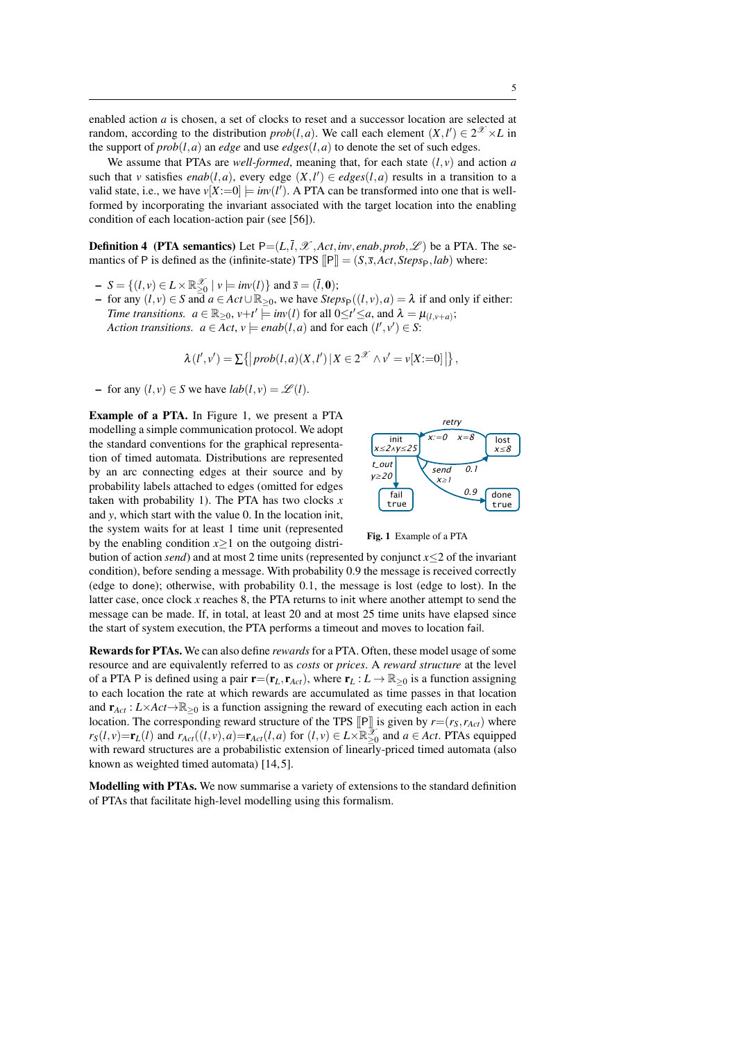enabled action *a* is chosen, a set of clocks to reset and a successor location are selected at random, according to the distribution *prob*(*l*,*a*). We call each element  $(X, l') \in 2^{\mathcal{X}} \times L$  in the support of  $prob(l, a)$  an *edge* and use *edges*( $l, a$ ) to denote the set of such edges.

We assume that PTAs are *well-formed*, meaning that, for each state  $(l, v)$  and action *a* such that *v* satisfies *enab*(*l*,*a*), every edge  $(X, l') \in edges(l, a)$  results in a transition to a valid state, i.e., we have  $v[X:=0] \models inv(l')$ . A PTA can be transformed into one that is wellformed by incorporating the invariant associated with the target location into the enabling condition of each location-action pair (see [\[56\]](#page-25-1)).

**Definition 4** (PTA semantics) Let  $P=(L,\overline{l},\mathcal{X},Act,inv,enab,prob,\mathcal{L})$  be a PTA. The semantics of P is defined as the (infinite-state) TPS  $\Vert P \Vert = (S, \overline{s}, Act, Steps_P, lab)$  where:

- $S = \{ (l, v) \in L \times \mathbb{R}^{\mathcal{X}}_{\geq 0} \mid v \models inv(l) \}$  and  $\bar{s} = (\bar{l}, 0)$ ;
- for any  $(l, v) \in S$  and *a* ∈ *Act* ∪ ℝ≥0, we have *Steps*<sub>P</sub>( $(l, v)$ , *a*) = λ if and only if either: *Time transitions.*  $a \in \mathbb{R}_{\geq 0}$ ,  $v+t' \models inv(l)$  for all  $0 \leq t' \leq a$ , and  $\lambda = \mu_{(l,v+a)}$ ; *Action transitions.*  $a \in Act, v \models enab(l, a)$  and for each  $(l', v') \in S$ :

<span id="page-4-1"></span>
$$
\lambda(l',v') = \sum \{|prob(l,a)(X,l')|X \in 2^{\mathcal{X}} \wedge v' = v[X:=0]| \},
$$

− for any  $(l, v) \in S$  we have  $lab(l, v) = \mathcal{L}(l)$ .

Example of a PTA. In Figure [1,](#page-4-0) we present a PTA modelling a simple communication protocol. We adopt the standard conventions for the graphical representation of timed automata. Distributions are represented by an arc connecting edges at their source and by probability labels attached to edges (omitted for edges taken with probability 1). The PTA has two clocks  $x$ and *y*, which start with the value 0. In the location init, the system waits for at least 1 time unit (represented by the enabling condition  $x>1$  on the outgoing distri-



<span id="page-4-0"></span>Fig. 1 Example of a PTA

bution of action *send*) and at most 2 time units (represented by conjunct *x*≤2 of the invariant condition), before sending a message. With probability 0.9 the message is received correctly (edge to done); otherwise, with probability 0.1, the message is lost (edge to lost). In the latter case, once clock *x* reaches 8, the PTA returns to init where another attempt to send the message can be made. If, in total, at least 20 and at most 25 time units have elapsed since the start of system execution, the PTA performs a timeout and moves to location fail.

Rewards for PTAs. We can also define *rewards*for a PTA. Often, these model usage of some resource and are equivalently referred to as *costs* or *prices*. A *reward structure* at the level of a PTA P is defined using a pair  $\mathbf{r}=(\mathbf{r}_L, \mathbf{r}_{Act})$ , where  $\mathbf{r}_L : L \to \mathbb{R}_{\geq 0}$  is a function assigning to each location the rate at which rewards are accumulated as time passes in that location and  $\mathbf{r}_{Act} : L \times Act \rightarrow \mathbb{R}_{\geq 0}$  is a function assigning the reward of executing each action in each location. The corresponding reward structure of the TPS  $\llbracket P \rrbracket$  is given by  $r = (r_S, r_{Act})$  where  $r_S(l, v) = \mathbf{r}_L(l)$  and  $r_{Act}((l, v), a) = \mathbf{r}_{Act}(l, a)$  for  $(l, v) \in L \times \mathbb{R}_{\geq 0}^{\infty}$  and  $a \in Act$ . PTAs equipped with reward structures are a probabilistic extension of linearly-priced timed automata (also known as weighted timed automata) [\[14,](#page-23-3) [5\]](#page-23-4).

Modelling with PTAs. We now summarise a variety of extensions to the standard definition of PTAs that facilitate high-level modelling using this formalism.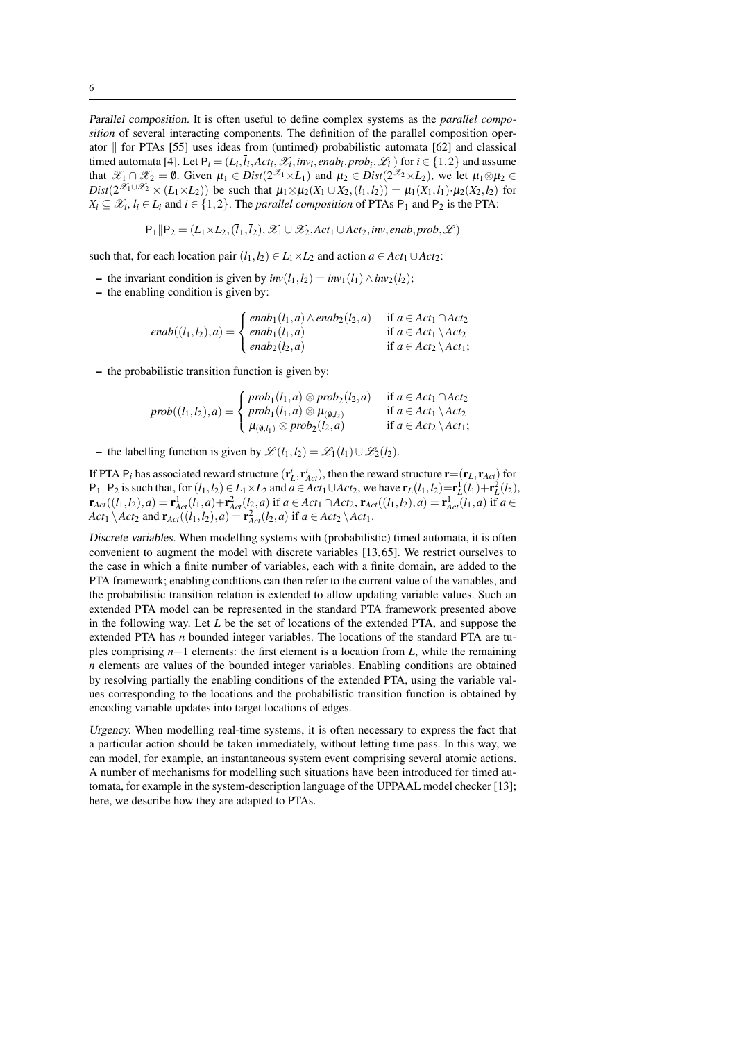Parallel composition. It is often useful to define complex systems as the *parallel composition* of several interacting components. The definition of the parallel composition operator  $\parallel$  for PTAs [\[55\]](#page-25-2) uses ideas from (untimed) probabilistic automata [\[62\]](#page-25-3) and classical timed automata [\[4\]](#page-23-2). Let  $P_i = (L_i, \bar{l}_i, Act_i, \mathcal{X}_i, inv_i, enab_i, prob_i, \mathcal{L}_i)$  for  $i \in \{1,2\}$  and assume that  $\mathscr{X}_1 \cap \mathscr{X}_2 = \emptyset$ . Given  $\mu_1 \in Dist(2^{\mathscr{X}_1} \times L_1)$  and  $\mu_2 \in Dist(2^{\mathscr{X}_2} \times L_2)$ , we let  $\mu_1 \otimes \mu_2 \in$  $Dist(2^{\mathcal{X}_1 \cup \mathcal{X}_2} \times (L_1 \times L_2))$  be such that  $\mu_1 \otimes \mu_2(X_1 \cup X_2,(l_1,l_2)) = \mu_1(X_1,l_1) \cdot \mu_2(X_2,l_2)$  for  $X_i \subseteq \mathcal{X}_i, l_i \in L_i$  and  $i \in \{1,2\}$ . The *parallel composition* of PTAs  $P_1$  and  $P_2$  is the PTA:

$$
P_1 \Vert P_2 = (L_1 \times L_2, (\overline{l}_1, \overline{l}_2), \mathscr{X}_1 \cup \mathscr{X}_2, Act_1 \cup Act_2, inv, enab, prob, \mathscr{L})
$$

such that, for each location pair  $(l_1, l_2) \in L_1 \times L_2$  and action  $a \in Act_1 \cup Act_2$ :

- the invariant condition is given by  $inv(l_1, l_2) = inv_1(l_1) ∧ inv_2(l_2);$
- the enabling condition is given by:

$$
enab((l_1,l_2),a) = \begin{cases} enab_1(l_1,a) \wedge enab_2(l_2,a) & \text{if } a \in Act_1 \cap Act_2 \\ enab_1(l_1,a) & \text{if } a \in Act_1 \setminus Act_2 \\ enab_2(l_2,a) & \text{if } a \in Act_2 \setminus Act_1; \end{cases}
$$

– the probabilistic transition function is given by:

$$
prob((l_1,l_2),a) = \begin{cases} prob_1(l_1,a) \otimes prob_2(l_2,a) & \text{if } a \in Act_1 \cap Act_2 \\ prob_1(l_1,a) \otimes \mu_{(0,l_2)} & \text{if } a \in Act_1 \setminus Act_2 \\ \mu_{(0,l_1)} \otimes prob_2(l_2,a) & \text{if } a \in Act_2 \setminus Act_1; \end{cases}
$$

– the labelling function is given by  $\mathcal{L}(l_1, l_2) = \mathcal{L}_1(l_1) \cup \mathcal{L}_2(l_2)$ .

If PTA  $P_i$  has associated reward structure  $(\mathbf{r}_L^i, \mathbf{r}_{Act}^i)$ , then the reward structure  $\mathbf{r} = (\mathbf{r}_L, \mathbf{r}_{Act})$  for  $P_1 \| P_2$  is such that, for  $(l_1, l_2) \in L_1 \times L_2$  and  $a \in Act_1 \cup Act_2$ , we have  $\mathbf{r}_L(l_1, l_2) = \mathbf{r}_L^1(l_1) + \mathbf{r}_L^2(l_2)$ ,  $\mathbf{r}_{Act}((l_1,l_2),a) = \mathbf{r}_{Act}^1(l_1,a) + \mathbf{r}_{Act}^2(l_2,a)$  if  $a \in Act_1 \cap Act_2$ ,  $\mathbf{r}_{Act}((l_1,l_2),a) = \mathbf{r}_{Act}^1(l_1,a)$  if  $a \in$  $Act_1 \setminus Act_2$  and  $\mathbf{r}_{Act}((l_1, l_2), a) = \mathbf{r}_{Act}^2(l_2, a)$  if  $a \in Act_2 \setminus Act_1$ .

Discrete variables. When modelling systems with (probabilistic) timed automata, it is often convenient to augment the model with discrete variables [\[13,](#page-23-0) [65\]](#page-25-4). We restrict ourselves to the case in which a finite number of variables, each with a finite domain, are added to the PTA framework; enabling conditions can then refer to the current value of the variables, and the probabilistic transition relation is extended to allow updating variable values. Such an extended PTA model can be represented in the standard PTA framework presented above in the following way. Let *L* be the set of locations of the extended PTA, and suppose the extended PTA has *n* bounded integer variables. The locations of the standard PTA are tuples comprising  $n+1$  elements: the first element is a location from L, while the remaining *n* elements are values of the bounded integer variables. Enabling conditions are obtained by resolving partially the enabling conditions of the extended PTA, using the variable values corresponding to the locations and the probabilistic transition function is obtained by encoding variable updates into target locations of edges.

Urgency. When modelling real-time systems, it is often necessary to express the fact that a particular action should be taken immediately, without letting time pass. In this way, we can model, for example, an instantaneous system event comprising several atomic actions. A number of mechanisms for modelling such situations have been introduced for timed automata, for example in the system-description language of the UPPAAL model checker [\[13\]](#page-23-0); here, we describe how they are adapted to PTAs.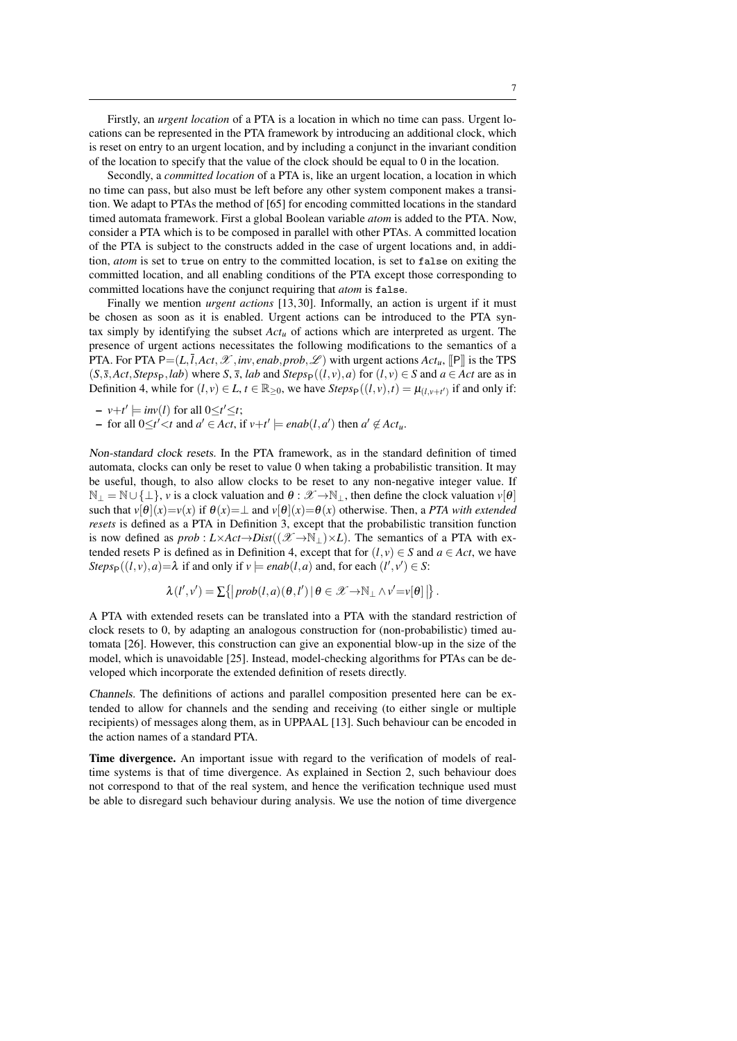Firstly, an *urgent location* of a PTA is a location in which no time can pass. Urgent locations can be represented in the PTA framework by introducing an additional clock, which is reset on entry to an urgent location, and by including a conjunct in the invariant condition of the location to specify that the value of the clock should be equal to 0 in the location.

Secondly, a *committed location* of a PTA is, like an urgent location, a location in which no time can pass, but also must be left before any other system component makes a transition. We adapt to PTAs the method of [\[65\]](#page-25-4) for encoding committed locations in the standard timed automata framework. First a global Boolean variable *atom* is added to the PTA. Now, consider a PTA which is to be composed in parallel with other PTAs. A committed location of the PTA is subject to the constructs added in the case of urgent locations and, in addition, *atom* is set to true on entry to the committed location, is set to false on exiting the committed location, and all enabling conditions of the PTA except those corresponding to committed locations have the conjunct requiring that *atom* is false.

Finally we mention *urgent actions* [\[13,](#page-23-0) [30\]](#page-24-7). Informally, an action is urgent if it must be chosen as soon as it is enabled. Urgent actions can be introduced to the PTA syntax simply by identifying the subset *Actu* of actions which are interpreted as urgent. The presence of urgent actions necessitates the following modifications to the semantics of a PTA. For PTA  $P=(L,\bar{l},Act,\mathcal{X},inv,enab,prob,\mathcal{L})$  with urgent actions  $Act_u$ ,  $[|P|\]$  is the TPS  $(S, \bar{s}, Act, Steps_P, lab)$  where *S*,  $\bar{s}$ , *lab* and *Steps*<sub>P</sub>( $(l, v), a$ ) for  $(l, v) \in S$  and  $a \in Act$  are as in Definition [4,](#page-4-1) while for  $(l, v) \in L$ ,  $t \in \mathbb{R}_{\geq 0}$ , we have  $Steps_P((l, v), t) = \mu_{(l, v + t')}$  if and only if:

$$
- v + t' \models inv(l) \text{ for all } 0 \leq t' \leq t;
$$

 $\rightarrow$  for all 0≤*t'* <*t* and *a'* ∈ *Act*, if *v*+*t'*  $\models$  *enab*(*l*,*a'*) then *a'* ∉ *Act<sub>u</sub>*.

Non-standard clock resets. In the PTA framework, as in the standard definition of timed automata, clocks can only be reset to value 0 when taking a probabilistic transition. It may be useful, though, to also allow clocks to be reset to any non-negative integer value. If  $\mathbb{N}_{\perp} = \mathbb{N} \cup \{\perp\}, v$  is a clock valuation and  $\theta : \mathscr{X} \to \mathbb{N}_{\perp}$ , then define the clock valuation  $v[\theta]$ such that  $v[\theta](x) = v(x)$  if  $\theta(x) = \bot$  and  $v[\theta](x) = \theta(x)$  otherwise. Then, a *PTA with extended resets* is defined as a PTA in Definition [3,](#page-3-1) except that the probabilistic transition function is now defined as  $prob: L \times Act \rightarrow Dist((\mathcal{X} \rightarrow \mathbb{N}_{\perp}) \times L)$ . The semantics of a PTA with ex-tended resets P is defined as in Definition [4,](#page-4-1) except that for  $(l, v) \in S$  and  $a \in Act$ , we have *Steps*<sub>P</sub>( $(l, v), a$ )= $\lambda$  if and only if  $v \models enab(l, a)$  and, for each  $(l', v') \in S$ :

$$
\lambda(l',v') = \sum \{|prob(l,a)(\theta,l')| \theta \in \mathscr{X} \rightarrow \mathbb{N}_{\perp} \wedge v' = v[\theta] \}.
$$

A PTA with extended resets can be translated into a PTA with the standard restriction of clock resets to 0, by adapting an analogous construction for (non-probabilistic) timed automata [\[26\]](#page-23-5). However, this construction can give an exponential blow-up in the size of the model, which is unavoidable [\[25\]](#page-23-6). Instead, model-checking algorithms for PTAs can be developed which incorporate the extended definition of resets directly.

Channels. The definitions of actions and parallel composition presented here can be extended to allow for channels and the sending and receiving (to either single or multiple recipients) of messages along them, as in UPPAAL [\[13\]](#page-23-0). Such behaviour can be encoded in the action names of a standard PTA.

Time divergence. An important issue with regard to the verification of models of realtime systems is that of time divergence. As explained in Section [2,](#page-1-0) such behaviour does not correspond to that of the real system, and hence the verification technique used must be able to disregard such behaviour during analysis. We use the notion of time divergence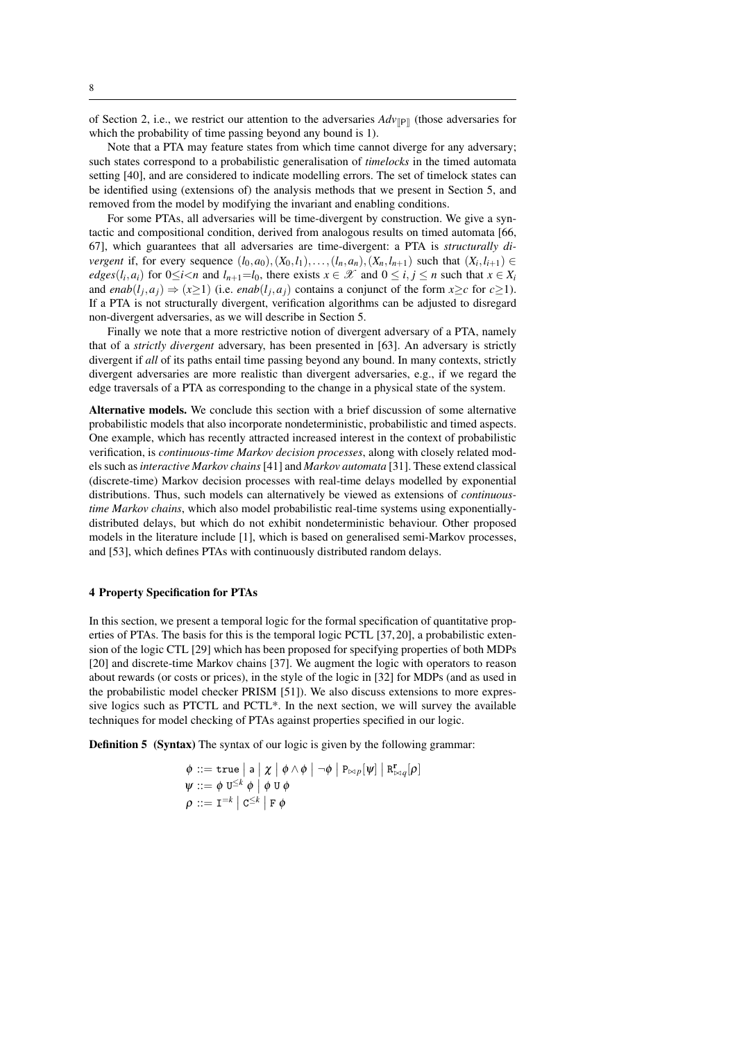of Section [2,](#page-1-0) i.e., we restrict our attention to the adversaries  $Adv_{\mathbb{P}}$  (those adversaries for which the probability of time passing beyond any bound is 1).

Note that a PTA may feature states from which time cannot diverge for any adversary; such states correspond to a probabilistic generalisation of *timelocks* in the timed automata setting [\[40\]](#page-24-5), and are considered to indicate modelling errors. The set of timelock states can be identified using (extensions of) the analysis methods that we present in Section [5,](#page-10-0) and removed from the model by modifying the invariant and enabling conditions.

For some PTAs, all adversaries will be time-divergent by construction. We give a syntactic and compositional condition, derived from analogous results on timed automata [\[66,](#page-25-5) [67\]](#page-25-6), which guarantees that all adversaries are time-divergent: a PTA is *structurally divergent* if, for every sequence  $(l_0, a_0)$ ,  $(X_0, l_1)$ ,..., $(l_n, a_n)$ ,  $(X_n, l_{n+1})$  such that  $(X_i, l_{i+1}) \in$ *edges*( $l_i$ , $a_i$ ) for  $0 \le i < n$  and  $l_{n+1} = l_0$ , there exists  $x \in \mathcal{X}$  and  $0 \le i, j \le n$  such that  $x \in X_i$ and *enab*( $l_j$ , $a_j$ )  $\Rightarrow$  ( $x \ge 1$ ) (i.e. *enab*( $l_j$ , $a_j$ ) contains a conjunct of the form  $x \ge c$  for  $c \ge 1$ ). If a PTA is not structurally divergent, verification algorithms can be adjusted to disregard non-divergent adversaries, as we will describe in Section [5.](#page-10-0)

Finally we note that a more restrictive notion of divergent adversary of a PTA, namely that of a *strictly divergent* adversary, has been presented in [\[63\]](#page-25-7). An adversary is strictly divergent if *all* of its paths entail time passing beyond any bound. In many contexts, strictly divergent adversaries are more realistic than divergent adversaries, e.g., if we regard the edge traversals of a PTA as corresponding to the change in a physical state of the system.

Alternative models. We conclude this section with a brief discussion of some alternative probabilistic models that also incorporate nondeterministic, probabilistic and timed aspects. One example, which has recently attracted increased interest in the context of probabilistic verification, is *continuous-time Markov decision processes*, along with closely related models such as*interactive Markov chains*[\[41\]](#page-24-8) and *Markov automata* [\[31\]](#page-24-9). These extend classical (discrete-time) Markov decision processes with real-time delays modelled by exponential distributions. Thus, such models can alternatively be viewed as extensions of *continuoustime Markov chains*, which also model probabilistic real-time systems using exponentiallydistributed delays, but which do not exhibit nondeterministic behaviour. Other proposed models in the literature include [\[1\]](#page-22-1), which is based on generalised semi-Markov processes, and [\[53\]](#page-24-10), which defines PTAs with continuously distributed random delays.

#### <span id="page-7-0"></span>4 Property Specification for PTAs

In this section, we present a temporal logic for the formal specification of quantitative properties of PTAs. The basis for this is the temporal logic PCTL [\[37,](#page-24-11) [20\]](#page-23-7), a probabilistic extension of the logic CTL [\[29\]](#page-24-12) which has been proposed for specifying properties of both MDPs [\[20\]](#page-23-7) and discrete-time Markov chains [\[37\]](#page-24-11). We augment the logic with operators to reason about rewards (or costs or prices), in the style of the logic in [\[32\]](#page-24-13) for MDPs (and as used in the probabilistic model checker PRISM [\[51\]](#page-24-0)). We also discuss extensions to more expressive logics such as PTCTL and PCTL\*. In the next section, we will survey the available techniques for model checking of PTAs against properties specified in our logic.

Definition 5 (Syntax) The syntax of our logic is given by the following grammar:

$$
\begin{array}{l} \phi \, ::= \, \mathtt{true} \, \big| \, \mathsf{a} \, \big| \, \chi \, \big| \, \phi \wedge \phi \, \big| \, \neg \phi \, \big| \, \mathtt{P}_{\bowtie p}[\psi] \, \big| \, \mathtt{R}^{\mathbf{r}}_{\bowtie q}[\rho] \\ \psi \, ::= \, \phi \, \, \mathtt{U}^{\leq k} \, \phi \, \big| \, \phi \, \mathtt{U} \, \phi \\ \rho \, ::= \, \mathtt{I}^{=k} \, \big| \, \mathtt{C}^{\leq k} \, \big| \, \mathtt{F} \, \phi \end{array}
$$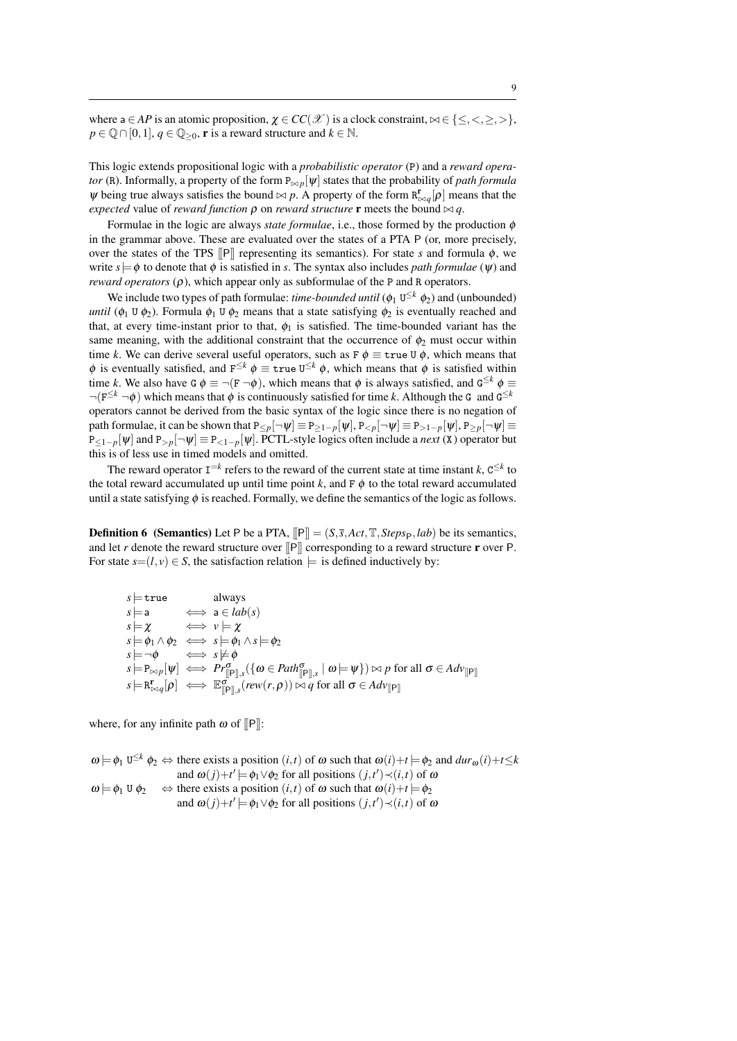where  $a \in AP$  is an atomic proposition,  $\chi \in CC(\mathcal{X})$  is a clock constraint,  $\bowtie \in \{\leq, <, \geq, >\},\$  $p \in \mathbb{Q} \cap [0,1], q \in \mathbb{Q}_{\geq 0}$ , **r** is a reward structure and  $k \in \mathbb{N}$ .

This logic extends propositional logic with a *probabilistic operator* (P) and a *reward operator* (R). Informally, a property of the form  $P_{\bowtie p}[\psi]$  states that the probability of *path formula*  $\psi$  being true always satisfies the bound  $\bowtie$  *p*. A property of the form  $R_{\bowtie q}^{r}[p]$  means that the *expected* value of *reward function*  $\rho$  on *reward structure* **r** meets the bound  $\bowtie$  *q*.

Formulae in the logic are always *state formulae*, i.e., those formed by the production φ in the grammar above. These are evaluated over the states of a PTA P (or, more precisely, over the states of the TPS  $\Vert P \Vert$  representing its semantics). For state *s* and formula  $\phi$ , we write  $s = \phi$  to denote that  $\phi$  is satisfied in *s*. The syntax also includes *path formulae* ( $\psi$ ) and *reward operators*  $(\rho)$ , which appear only as subformulae of the P and R operators.

We include two types of path formulae: *time-bounded until* ( $\phi_1$  U<sup> $\leq k$ </sup>  $\phi_2$ ) and (unbounded) *until* ( $\phi_1$  U  $\phi_2$ ). Formula  $\phi_1$  U  $\phi_2$  means that a state satisfying  $\phi_2$  is eventually reached and that, at every time-instant prior to that,  $\phi_1$  is satisfied. The time-bounded variant has the same meaning, with the additional constraint that the occurrence of  $\phi_2$  must occur within time *k*. We can derive several useful operators, such as  $F \phi \equiv \text{true } U \phi$ , which means that  $\phi$  is eventually satisfied, and  $F^{\leq k}$   $\phi \equiv \text{true } U^{\leq k}$   $\phi$ , which means that  $\phi$  is satisfied within time *k*. We also have G  $\phi \equiv \neg (F \neg \phi)$ , which means that  $\phi$  is always satisfied, and  $G^{\leq k}$   $\phi \equiv$  $\neg(\mathbf{F}^{\leq k} \neg \phi)$  which means that  $\phi$  is continuously satisfied for time *k*. Although the G and  $\mathbf{G}^{\leq k}$ operators cannot be derived from the basic syntax of the logic since there is no negation of path formulae, it can be shown that  $P_{\leq p}[\neg \psi] \equiv P_{\geq 1-p}[\psi], P_{\leq p}[\neg \psi] \equiv P_{\geq 1-p}[\psi], P_{\geq p}[\neg \psi] \equiv$  $P_{\leq 1-p}[\psi]$  and  $P_{>p}[\neg \psi] \equiv P_{\leq 1-p}[\psi]$ . PCTL-style logics often include a *next* (X) operator but this is of less use in timed models and omitted.

The reward operator  $I^{-k}$  refers to the reward of the current state at time instant *k*,  $C^{\leq k}$  to the total reward accumulated up until time point  $k$ , and  $F \phi$  to the total reward accumulated until a state satisfying  $\phi$  is reached. Formally, we define the semantics of the logic as follows.

<span id="page-8-0"></span>**Definition 6** (Semantics) Let P be a PTA,  $[IP] = (S, \bar{s}, Act, \mathbb{T}, \mathit{Steps}_P, \mathit{lab})$  be its semantics, and let *r* denote the reward structure over  $\Vert P \Vert$  corresponding to a reward structure **r** over P. For state  $s=(l, v) \in S$ , the satisfaction relation  $\models$  is defined inductively by:

$$
s \models \text{true} \quad \text{always} \ns \models a \quad \iff a \in lab(s) \ns \models \chi \quad \iff v \models \chi \ns \models \phi_1 \land \phi_2 \iff s \models \phi_1 \land s \models \phi_2 \ns \models \neg \phi \quad \iff s \not\models \phi \ns \models \text{P}_{\bowtie p}[\psi] \iff \text{P}_{\Gamma[\mathbb{P}], s}^{\sigma}(\{\omega \in Path_{\mathbb{P}], s}^{\sigma} \mid \omega \models \psi\}) \bowtie p \text{ for all } \sigma \in Adv_{\mathbb{P}}^{\mathbb{P}} \ns \models \text{R}_{\bowtie q}^{\mathbb{P}}[\rho] \iff \text{E}_{\mathbb{P}[\mathbb{P}], s}^{\sigma}(\text{rew}(r, \rho)) \bowtie q \text{ for all } \sigma \in Adv_{\mathbb{P}}^{\mathbb{P}} \end{cases}
$$

where, for any infinite path  $\omega$  of  $[$ P $]$ :

$$
\omega \models \phi_1 \cup^{\leq k} \phi_2 \Leftrightarrow \text{there exists a position } (i, t) \text{ of } \omega \text{ such that } \omega(i) + t \models \phi_2 \text{ and } \text{dur}_{\omega}(i) + t \leq k
$$
  
\nand  $\omega(j) + t' \models \phi_1 \lor \phi_2$  for all positions  $(j, t') \prec (i, t)$  of  $\omega$   
\n $\omega \models \phi_1 \cup \phi_2 \quad \Leftrightarrow \text{there exists a position } (i, t) \text{ of } \omega \text{ such that } \omega(i) + t \models \phi_2$   
\nand  $\omega(j) + t' \models \phi_1 \lor \phi_2$  for all positions  $(j, t') \prec (i, t)$  of  $\omega$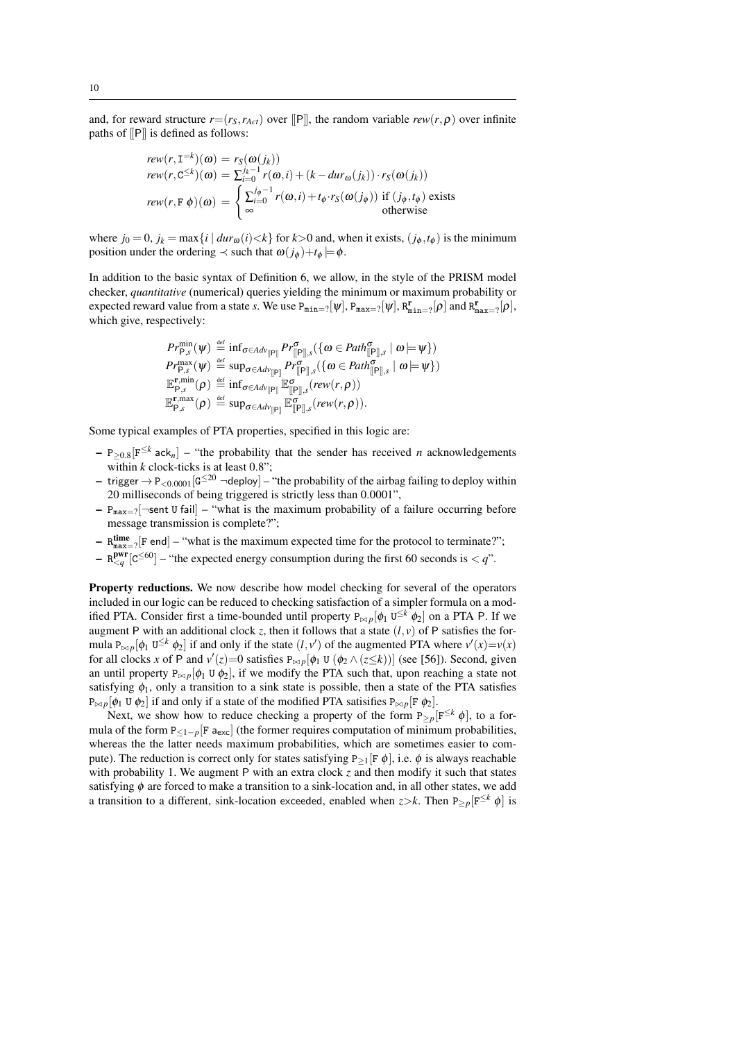and, for reward structure  $r=(r_S, r_{Act})$  over [[P]], the random variable  $rew(r, \rho)$  over infinite paths of [[P]] is defined as follows:

$$
rew(r, \mathbf{I}^{=k})(\omega) = r_S(\omega(j_k))
$$
  
\n
$$
rew(r, \mathbf{C}^{\leq k})(\omega) = \sum_{i=0}^{j_k-1} r(\omega, i) + (k - dur_{\omega}(j_k)) \cdot r_S(\omega(j_k))
$$
  
\n
$$
rew(r, \mathbf{F} \phi)(\omega) = \begin{cases} \sum_{i=0}^{j_{\phi}-1} r(\omega, i) + t_{\phi} \cdot r_S(\omega(j_{\phi})) & \text{if } (j_{\phi}, t_{\phi}) \text{ exists} \\ \infty & \text{otherwise} \end{cases}
$$

where  $j_0 = 0$ ,  $j_k = \max\{i \mid dur_{\omega}(i) \le k\}$  for  $k > 0$  and, when it exists,  $(j_{\phi}, t_{\phi})$  is the minimum position under the ordering  $\prec$  such that  $\omega(j_\phi)+t_\phi \models \phi$ .

In addition to the basic syntax of Definition [6,](#page-8-0) we allow, in the style of the PRISM model checker, *quantitative* (numerical) queries yielding the minimum or maximum probability or expected reward value from a state *s*. We use  $P_{\min=?}[\psi], P_{\max=?}[\psi], R_{\min=?}^{\mathbf{r}}[\rho]$  and  $R_{\max=?}^{\mathbf{r}}[\rho],$ which give, respectively:

$$
Pr_{\mathsf{P},s}^{\min}(\psi) \stackrel{\text{def}}{=} \inf_{\sigma \in Adv_{\mathbb{F}}^{\min} P} r_{\mathbb{F}_{\mathbb{F}}^{\sigma} \cup s}^{\sigma}(\{\omega \in Path_{\mathbb{F}_{\mathbb{F}}^{\min},s}^{\sigma} \mid \omega \models \psi\})
$$
\n
$$
Pr_{\mathsf{P},s}^{\max}(\psi) \stackrel{\text{def}}{=} \sup_{\sigma \in Adv_{\mathbb{F}_{\mathbb{F}}^{\min} P} r_{\mathbb{F}_{\mathbb{F}}^{\sigma} \cup s}^{\sigma}(\{\omega \in Path_{\mathbb{F}_{\mathbb{F}}^{\min},s}^{\sigma} \mid \omega \models \psi\})
$$
\n
$$
\mathbb{E}_{\mathsf{P},s}^{\mathbf{r},\min}(\rho) \stackrel{\text{def}}{=} \inf_{\sigma \in Adv_{\mathbb{F}_{\mathbb{F}}^{\min} P}^{\sigma} \mathbb{E}_{\mathbb{F}_{\mathbb{F}}^{\min},s}^{\sigma}(rew(r,\rho))
$$
\n
$$
\mathbb{E}_{\mathsf{P},s}^{\mathbf{r},\max}(\rho) \stackrel{\text{def}}{=} \sup_{\sigma \in Adv_{\mathbb{F}_{\mathbb{F}}^{\min} P}^{\sigma} \mathbb{E}_{\mathbb{F}_{\mathbb{F}}^{\min},s}^{\sigma}(rew(r,\rho)).
$$

Some typical examples of PTA properties, specified in this logic are:

- $P_{\geq 0.8} [F^{\leq k} \text{ack}_n]$  "the probability that the sender has received *n* acknowledgements within  $k$  clock-ticks is at least  $0.8$ ";
- trigger  $\rightarrow$  P<sub><0.0001</sub> [G<sup> $\leq$ 20</sup>  $\lnot$  deploy] "the probability of the airbag failing to deploy within 20 milliseconds of being triggered is strictly less than 0.0001",
- $P_{\text{max}=2}$ [ $\neg$ sent U fail] "what is the maximum probability of a failure occurring before message transmission is complete?";
- $-$  R $_{\text{max}=2}^{\text{time}}$  [F end] "what is the maximum expected time for the protocol to terminate?";
- $-$  R<sup>pwr</sup> [C<sup>≤60</sup>] "the expected energy consumption during the first 60 seconds is < *q*".

Property reductions. We now describe how model checking for several of the operators included in our logic can be reduced to checking satisfaction of a simpler formula on a modified PTA. Consider first a time-bounded until property  $P_{\bowtie p}[\phi_1 \, U^{\leq k} \, \phi_2]$  on a PTA P. If we augment P with an additional clock *z*, then it follows that a state  $(l, v)$  of P satisfies the formula  $P_{\bowtie p}[\phi_1 \cup \leq^k \phi_2]$  if and only if the state  $(l, v')$  of the augmented PTA where  $v'(x) = v(x)$ for all clocks *x* of P and  $v'(z) = 0$  satisfies  $P_{\bowtie p}[\phi_1 \cup (\phi_2 \wedge (z \le k))]$  (see [\[56\]](#page-25-1)). Second, given an until property  $P_{\bowtie p}[\phi_1 \cup \phi_2]$ , if we modify the PTA such that, upon reaching a state not satisfying  $\phi_1$ , only a transition to a sink state is possible, then a state of the PTA satisfies  $P_{\bowtie p}[\phi_1 \cup \phi_2]$  if and only if a state of the modified PTA satisifies  $P_{\bowtie p}[F \phi_2]$ .

Next, we show how to reduce checking a property of the form  $P_{\geq p}[F^{\leq k} \phi]$ , to a formula of the form  $P\lt_{1-p}[F a_{exc}]$  (the former requires computation of minimum probabilities, whereas the the latter needs maximum probabilities, which are sometimes easier to compute). The reduction is correct only for states satisfying  $P_{\geq 1} [F \phi]$ , i.e.  $\phi$  is always reachable with probability 1. We augment P with an extra clock *z* and then modify it such that states satisfying  $\phi$  are forced to make a transition to a sink-location and, in all other states, we add a transition to a different, sink-location exceeded, enabled when  $z > k$ . Then  $P_{>p}[F^{\leq k} \phi]$  is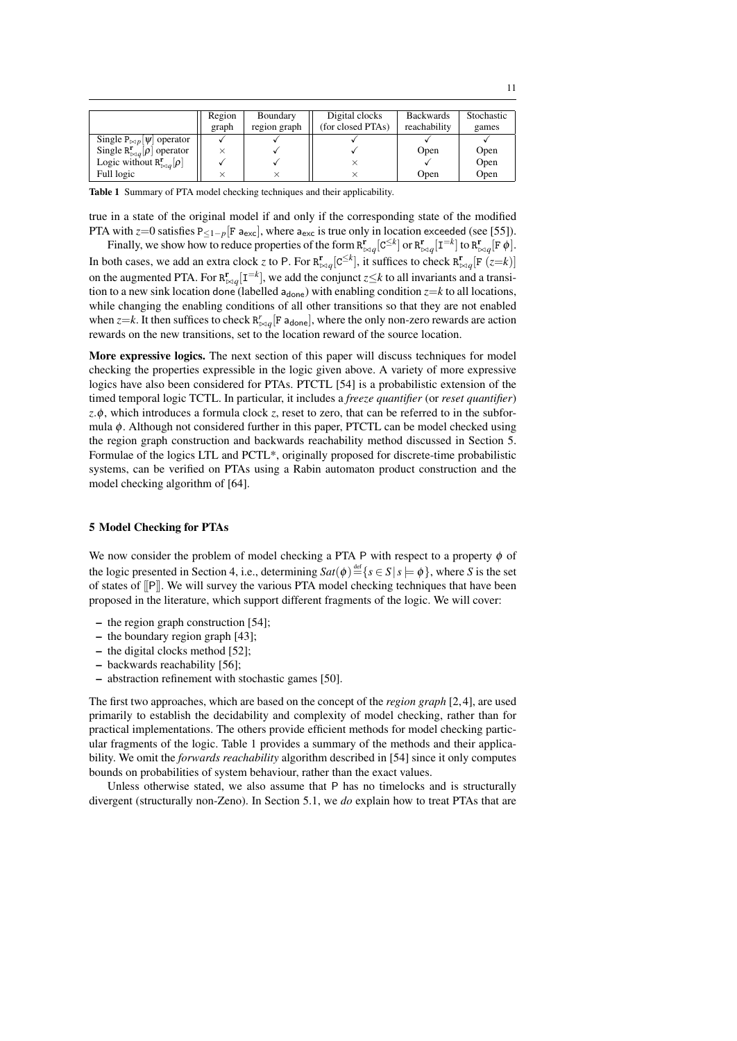|                                                    | Region | Boundary     | Digital clocks    | <b>Backwards</b> | <b>Stochastic</b> |
|----------------------------------------------------|--------|--------------|-------------------|------------------|-------------------|
|                                                    | graph  | region graph | (for closed PTAs) | reachability     | games             |
| Single $P_{\bowtie p}[\psi]$ operator              |        |              |                   |                  |                   |
| Single $R^{\mathbf{r}}_{\bowtie q}[\rho]$ operator |        |              |                   | Open             | Open              |
| Logic without $R^{\mathbf{r}}_{\bowtie q}[\rho]$   |        |              |                   |                  | Open              |
| Full logic                                         |        |              |                   | Open             | Open              |

<span id="page-10-1"></span>Table 1 Summary of PTA model checking techniques and their applicability.

true in a state of the original model if and only if the corresponding state of the modified PTA with *z*=0 satisfies P<sub><1-p</sub>[F a<sub>exc</sub>], where a<sub>exc</sub> is true only in location exceeded (see [\[55\]](#page-25-2)).

Finally, we show how to reduce properties of the form  $R^{\mathbf{r}}_{\bowtie q}[\mathsf{C}^{\leq k}]$  or  $R^{\mathbf{r}}_{\bowtie q}[\mathsf{I}^{= k}]$  to  $R^{\mathbf{r}}_{\bowtie q}[\mathsf{F}\ \phi]$ . In both cases, we add an extra clock *z* to P. For  $R_{\bowtie q}^{r}[C^{\leq k}]$ , it suffices to check  $R_{\bowtie q}^{r}[F(z=k)]$ on the augmented PTA. For  $R_{\bowtie q}^{r}[I^{=k}]$ , we add the conjunct *z*≤*k* to all invariants and a transition to a new sink location done (labelled  $a_{\text{done}}$ ) with enabling condition  $z=k$  to all locations, while changing the enabling conditions of all other transitions so that they are not enabled when  $z = k$ . It then suffices to check  $R_{\bowtie q}^r$  [F a<sub>done</sub>], where the only non-zero rewards are action rewards on the new transitions, set to the location reward of the source location.

More expressive logics. The next section of this paper will discuss techniques for model checking the properties expressible in the logic given above. A variety of more expressive logics have also been considered for PTAs. PTCTL [\[54\]](#page-25-0) is a probabilistic extension of the timed temporal logic TCTL. In particular, it includes a *freeze quantifier* (or *reset quantifier*) *z*.φ, which introduces a formula clock *z*, reset to zero, that can be referred to in the subformula  $\phi$ . Although not considered further in this paper, PTCTL can be model checked using the region graph construction and backwards reachability method discussed in Section [5.](#page-10-0) Formulae of the logics LTL and PCTL\*, originally proposed for discrete-time probabilistic systems, can be verified on PTAs using a Rabin automaton product construction and the model checking algorithm of [\[64\]](#page-25-8).

#### <span id="page-10-0"></span>5 Model Checking for PTAs

We now consider the problem of model checking a PTA P with respect to a property  $\phi$  of the logic presented in Section [4,](#page-7-0) i.e., determining  $Sat(\phi) \stackrel{\text{def}}{=} \{s \in S \mid s \models \phi\}$ , where *S* is the set of states of [[P]]. We will survey the various PTA model checking techniques that have been proposed in the literature, which support different fragments of the logic. We will cover:

- the region graph construction [\[54\]](#page-25-0);
- the boundary region graph [\[43\]](#page-24-14);
- the digital clocks method [\[52\]](#page-24-3);
- backwards reachability [\[56\]](#page-25-1);
- abstraction refinement with stochastic games [\[50\]](#page-24-15).

The first two approaches, which are based on the concept of the *region graph* [\[2,](#page-22-0) [4\]](#page-23-2), are used primarily to establish the decidability and complexity of model checking, rather than for practical implementations. The others provide efficient methods for model checking particular fragments of the logic. Table [1](#page-10-1) provides a summary of the methods and their applicability. We omit the *forwards reachability* algorithm described in [\[54\]](#page-25-0) since it only computes bounds on probabilities of system behaviour, rather than the exact values.

Unless otherwise stated, we also assume that P has no timelocks and is structurally divergent (structurally non-Zeno). In Section [5.1,](#page-11-0) we *do* explain how to treat PTAs that are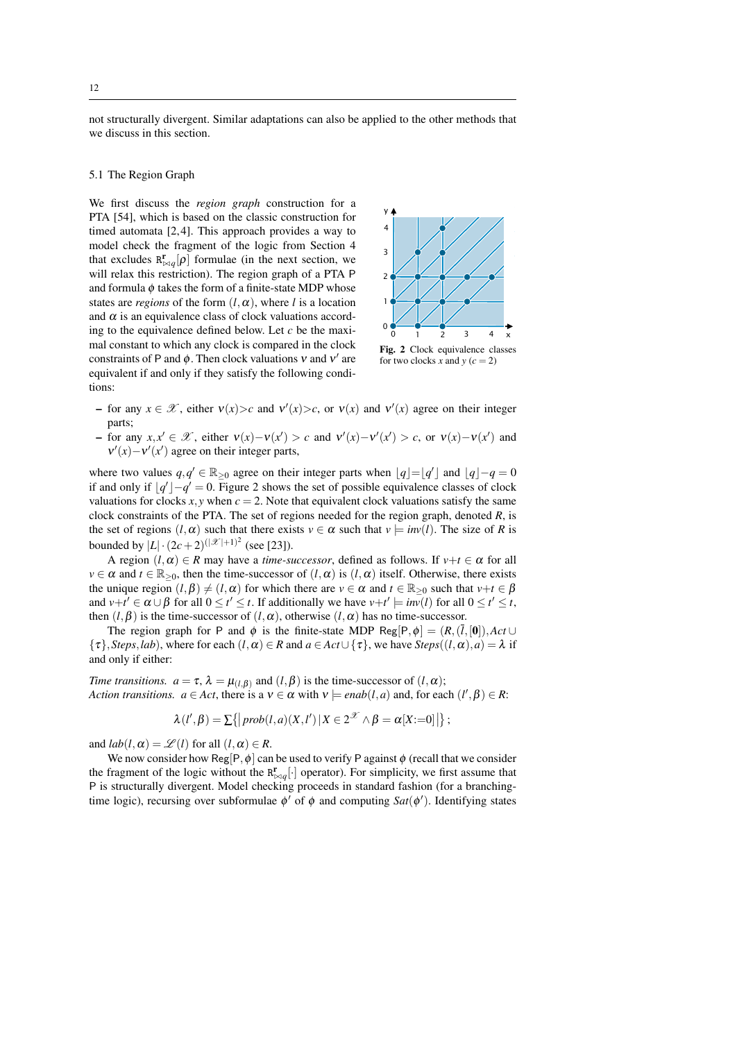12

not structurally divergent. Similar adaptations can also be applied to the other methods that we discuss in this section.

#### <span id="page-11-0"></span>5.1 The Region Graph

We first discuss the *region graph* construction for a PTA [\[54\]](#page-25-0), which is based on the classic construction for timed automata [\[2,](#page-22-0) [4\]](#page-23-2). This approach provides a way to model check the fragment of the logic from Section [4](#page-7-0) that excludes  $R_{\bowtie q}^{r}[\rho]$  formulae (in the next section, we will relax this restriction). The region graph of a PTA P and formula  $\phi$  takes the form of a finite-state MDP whose states are *regions* of the form  $(l, \alpha)$ , where *l* is a location and  $\alpha$  is an equivalence class of clock valuations according to the equivalence defined below. Let *c* be the maximal constant to which any clock is compared in the clock constraints of P and  $\phi$ . Then clock valuations v and v' are equivalent if and only if they satisfy the following conditions:



<span id="page-11-1"></span>Fig. 2 Clock equivalence classes for two clocks *x* and  $y$  ( $c = 2$ )

- for any *x* ∈  $\mathcal{X}$ , either  $v(x) > c$  and  $v'(x) > c$ , or  $v(x)$  and  $v'(x)$  agree on their integer parts;
- for any *x*, *x*<sup> $'$ </sup> ∈  $\mathcal{X}$ , either  $v(x) v(x') > c$  and  $v'(x) v'(x') > c$ , or  $v(x) v(x')$  and  $v'(x) - v'(x')$  agree on their integer parts,

where two values  $q, q' \in \mathbb{R}_{\geq 0}$  agree on their integer parts when  $\lfloor q \rfloor = \lfloor q' \rfloor$  and  $\lfloor q \rfloor - q = 0$ if and only if  $\lfloor q' \rfloor - q' = 0$ . Figure [2](#page-11-1) shows the set of possible equivalence classes of clock valuations for clocks  $x, y$  when  $c = 2$ . Note that equivalent clock valuations satisfy the same clock constraints of the PTA. The set of regions needed for the region graph, denoted *R*, is the set of regions  $(l, \alpha)$  such that there exists  $v \in \alpha$  such that  $v \models inv(l)$ . The size of *R* is bounded by  $|L| \cdot (2c+2)^{(|\mathcal{X}|+1)^2}$  (see [\[23\]](#page-23-8)).

A region  $(l, \alpha) \in R$  may have a *time-successor*, defined as follows. If  $v+t \in \alpha$  for all  $v \in \alpha$  and  $t \in \mathbb{R}_{\geq 0}$ , then the time-successor of  $(l, \alpha)$  is  $(l, \alpha)$  itself. Otherwise, there exists the unique region  $(l, \beta) \neq (l, \alpha)$  for which there are  $v \in \alpha$  and  $t \in \mathbb{R}_{\geq 0}$  such that  $v+t \in \beta$ and  $v+t' \in \alpha \cup \beta$  for all  $0 \le t' \le t$ . If additionally we have  $v+t' \models inv(l)$  for all  $0 \le t' \le t$ , then  $(l, \beta)$  is the time-successor of  $(l, \alpha)$ , otherwise  $(l, \alpha)$  has no time-successor.

The region graph for P and  $\phi$  is the finite-state MDP Reg[P, $\phi$ ] = (*R*,( $\overline{l}$ ,[0]),*Act* ∪  $\{\tau\}$ , *Steps*, *lab*), where for each  $(l, \alpha) \in R$  and  $a \in Act \cup \{\tau\}$ , we have *Steps* $((l, \alpha), a) = \lambda$  if and only if either:

*Time transitions.*  $a = \tau$ ,  $\lambda = \mu_{(l,\beta)}$  and  $(l,\beta)$  is the time-successor of  $(l,\alpha)$ ; *Action transitions.*  $a \in Act$ , there is a  $v \in \alpha$  with  $v \models enab(l, a)$  and, for each  $(l', \beta) \in R$ :

$$
\lambda(l',\beta) = \sum \{|prob(l,a)(X,l')|X \in 2^{\mathcal{X}} \wedge \beta = \alpha[X:=0]| \};
$$

and  $lab(l, \alpha) = \mathcal{L}(l)$  for all  $(l, \alpha) \in R$ .

We now consider how Reg[P,  $\phi$ ] can be used to verify P against  $\phi$  (recall that we consider the fragment of the logic without the  $R_{\bowtie q}^{r}[\cdot]$  operator). For simplicity, we first assume that P is structurally divergent. Model checking proceeds in standard fashion (for a branchingtime logic), recursing over subformulae  $\phi'$  of  $\phi$  and computing *Sat*( $\phi'$ ). Identifying states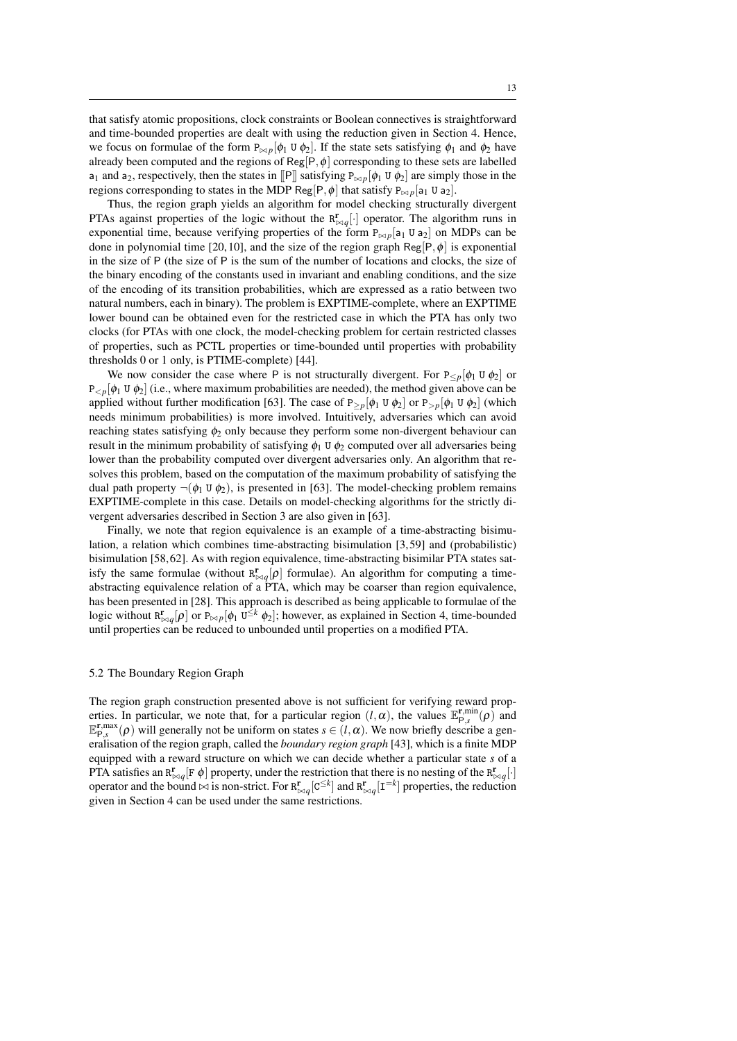that satisfy atomic propositions, clock constraints or Boolean connectives is straightforward and time-bounded properties are dealt with using the reduction given in Section [4.](#page-7-0) Hence, we focus on formulae of the form  $P_{\bowtie p}[\phi_1 \cup \phi_2]$ . If the state sets satisfying  $\phi_1$  and  $\phi_2$  have already been computed and the regions of Reg[P,  $\phi$ ] corresponding to these sets are labelled a<sub>1</sub> and a<sub>2</sub>, respectively, then the states in  $\|P\|$  satisfying  $P_{\bowtie p}[\phi_1 \cup \phi_2]$  are simply those in the regions corresponding to states in the MDP Reg[P,  $\phi$ ] that satisfy  $P_{\bowtie p}[a_1 \cup a_2]$ .

Thus, the region graph yields an algorithm for model checking structurally divergent PTAs against properties of the logic without the  $R_{\bowtie q}^{r}[\cdot]$  operator. The algorithm runs in exponential time, because verifying properties of the form  $P_{\bowtie p}[a_1 \cup a_2]$  on MDPs can be done in polynomial time [\[20,](#page-23-7) [10\]](#page-23-9), and the size of the region graph  $\text{Reg}|P,\phi|$  is exponential in the size of P (the size of P is the sum of the number of locations and clocks, the size of the binary encoding of the constants used in invariant and enabling conditions, and the size of the encoding of its transition probabilities, which are expressed as a ratio between two natural numbers, each in binary). The problem is EXPTIME-complete, where an EXPTIME lower bound can be obtained even for the restricted case in which the PTA has only two clocks (for PTAs with one clock, the model-checking problem for certain restricted classes of properties, such as PCTL properties or time-bounded until properties with probability thresholds 0 or 1 only, is PTIME-complete) [\[44\]](#page-24-16).

We now consider the case where P is not structurally divergent. For  $P_{\leq p}[\phi_1 \cup \phi_2]$  or  $P_{< p}[\phi_1 \cup \phi_2]$  (i.e., where maximum probabilities are needed), the method given above can be applied without further modification [\[63\]](#page-25-7). The case of  $P_{\geq p}[\phi_1 \cup \phi_2]$  or  $P_{\geq p}[\phi_1 \cup \phi_2]$  (which needs minimum probabilities) is more involved. Intuitively, adversaries which can avoid reaching states satisfying  $\phi_2$  only because they perform some non-divergent behaviour can result in the minimum probability of satisfying  $\phi_1$  U  $\phi_2$  computed over all adversaries being lower than the probability computed over divergent adversaries only. An algorithm that resolves this problem, based on the computation of the maximum probability of satisfying the dual path property  $\neg(\phi_1 \cup \phi_2)$ , is presented in [\[63\]](#page-25-7). The model-checking problem remains EXPTIME-complete in this case. Details on model-checking algorithms for the strictly divergent adversaries described in Section [3](#page-3-0) are also given in [\[63\]](#page-25-7).

Finally, we note that region equivalence is an example of a time-abstracting bisimulation, a relation which combines time-abstracting bisimulation [\[3,](#page-23-10) [59\]](#page-25-9) and (probabilistic) bisimulation [\[58,](#page-25-10) [62\]](#page-25-3). As with region equivalence, time-abstracting bisimilar PTA states satisfy the same formulae (without  $R_{\bowtie q}^{r}[\rho]$  formulae). An algorithm for computing a timeabstracting equivalence relation of a PTA, which may be coarser than region equivalence, has been presented in [\[28\]](#page-23-11). This approach is described as being applicable to formulae of the logic without  $R_{\bowtie q}^{r}[\rho]$  or  $P_{\bowtie p}[\phi_1 \cup ^{\leq k} \phi_2]$ ; however, as explained in Section [4,](#page-7-0) time-bounded until properties can be reduced to unbounded until properties on a modified PTA.

#### 5.2 The Boundary Region Graph

The region graph construction presented above is not sufficient for verifying reward properties. In particular, we note that, for a particular region  $(l, \alpha)$ , the values  $\mathbb{E}_{\mathsf{P},s}^{\mathbf{r},\min}(\rho)$  and  $\mathbb{E}_{\mathsf{P},s}^{\mathbf{r},\max}(\rho)$  will generally not be uniform on states  $s \in (l,\alpha)$ . We now briefly describe a generalisation of the region graph, called the *boundary region graph* [\[43\]](#page-24-14), which is a finite MDP equipped with a reward structure on which we can decide whether a particular state *s* of a PTA satisfies an  $R^{\mathbf{r}}_{\bowtie q}$  [F  $\phi$ ] property, under the restriction that there is no nesting of the  $R^{\mathbf{r}}_{\bowtie q}$ [·] operator and the bound  $\bowtie$  is non-strict. For  $R_{\bowtie q}^{r}[C^{\leq k}]$  and  $R_{\bowtie q}^{r}[I^{=k}]$  properties, the reduction given in Section [4](#page-7-0) can be used under the same restrictions.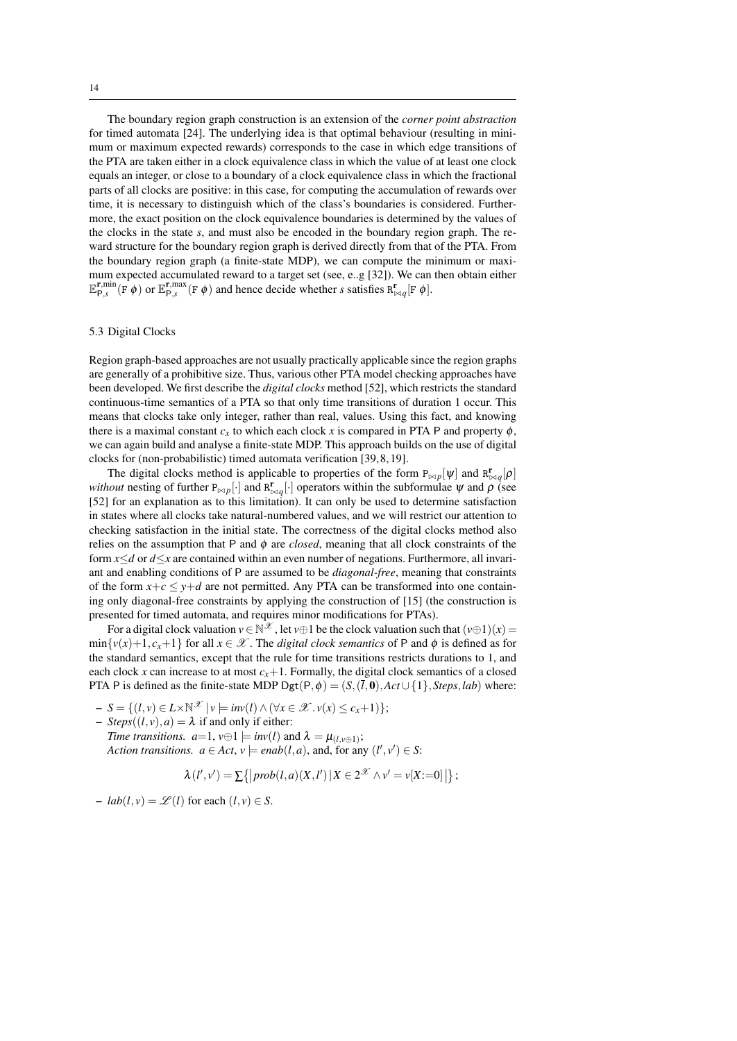The boundary region graph construction is an extension of the *corner point abstraction* for timed automata [\[24\]](#page-23-12). The underlying idea is that optimal behaviour (resulting in minimum or maximum expected rewards) corresponds to the case in which edge transitions of the PTA are taken either in a clock equivalence class in which the value of at least one clock equals an integer, or close to a boundary of a clock equivalence class in which the fractional parts of all clocks are positive: in this case, for computing the accumulation of rewards over time, it is necessary to distinguish which of the class's boundaries is considered. Furthermore, the exact position on the clock equivalence boundaries is determined by the values of the clocks in the state *s*, and must also be encoded in the boundary region graph. The reward structure for the boundary region graph is derived directly from that of the PTA. From the boundary region graph (a finite-state MDP), we can compute the minimum or maximum expected accumulated reward to a target set (see, e..g [\[32\]](#page-24-13)). We can then obtain either  $\mathbb{E}_{\mathsf{P},s}^{\mathbf{r},\min}(\mathbf{F}|\phi)$  or  $\mathbb{E}_{\mathsf{P},s}^{\mathbf{r},\max}(\mathbf{F}|\phi)$  and hence decide whether *s* satisfies  $\mathbb{R}_{\bowtie q}^{\mathbf{r}}[\mathbf{F}|\phi]$ .

#### 5.3 Digital Clocks

Region graph-based approaches are not usually practically applicable since the region graphs are generally of a prohibitive size. Thus, various other PTA model checking approaches have been developed. We first describe the *digital clocks* method [\[52\]](#page-24-3), which restricts the standard continuous-time semantics of a PTA so that only time transitions of duration 1 occur. This means that clocks take only integer, rather than real, values. Using this fact, and knowing there is a maximal constant  $c_x$  to which each clock x is compared in PTA P and property  $\phi$ , we can again build and analyse a finite-state MDP. This approach builds on the use of digital clocks for (non-probabilistic) timed automata verification [\[39,](#page-24-17) [8,](#page-23-13) [19\]](#page-23-14).

The digital clocks method is applicable to properties of the form  $P_{\bowtie p}[\psi]$  and  $R_{\bowtie q}^{\mathbf{r}}[\rho]$ *without* nesting of further  $P_{\bowtie p}[\cdot]$  and  $R^{\mathbf{r}}_{\bowtie q}[\cdot]$  operators within the subformulae  $\psi$  and  $\rho$  (see [\[52\]](#page-24-3) for an explanation as to this limitation). It can only be used to determine satisfaction in states where all clocks take natural-numbered values, and we will restrict our attention to checking satisfaction in the initial state. The correctness of the digital clocks method also relies on the assumption that P and  $\phi$  are *closed*, meaning that all clock constraints of the form *x*≤*d* or *d*≤*x* are contained within an even number of negations. Furthermore, all invariant and enabling conditions of P are assumed to be *diagonal-free*, meaning that constraints of the form  $x+c \leq y+d$  are not permitted. Any PTA can be transformed into one containing only diagonal-free constraints by applying the construction of [\[15\]](#page-23-15) (the construction is presented for timed automata, and requires minor modifications for PTAs).

For a digital clock valuation  $v \in \mathbb{N}^{\mathscr{X}}$ , let  $v \oplus 1$  be the clock valuation such that  $(v \oplus 1)(x) =$  $\min\{v(x)+1, c_x+1\}$  for all  $x \in \mathcal{X}$ . The *digital clock semantics* of P and  $\phi$  is defined as for the standard semantics, except that the rule for time transitions restricts durations to 1, and each clock *x* can increase to at most  $c_x+1$ . Formally, the digital clock semantics of a closed PTA P is defined as the finite-state MDP Dgt(P, $\phi$ ) = (*S*,( $\overline{l}$ ,0),*Act*∪{1},*Steps*,*lab*) where:

$$
- S = \{ (l, v) \in L \times \mathbb{N}^{\mathscr{X}} \mid v \models inv(l) \land (\forall x \in \mathscr{X} \cdot v(x) \le c_x + 1) \};
$$

 $-$  *Steps*( $(l, v), a$ ) =  $\lambda$  if and only if either: *Time transitions.*  $a=1$ ,  $v \oplus 1 \models inv(l)$  and  $\lambda = \mu_{(l,v \oplus 1)}$ ; *Action transitions.*  $a \in Act, v \models enab(l, a)$ , and, for any  $(l', v') \in S$ :

$$
\lambda(l',v') = \sum\{|prob(l,a)(X,l')|X \in 2^{\mathcal{X}} \wedge v' = v[X:=0]|\};
$$

 $-$  *lab*(*l*, *v*) =  $\mathcal{L}(l)$  for each (*l*, *v*)  $\in$  *S*.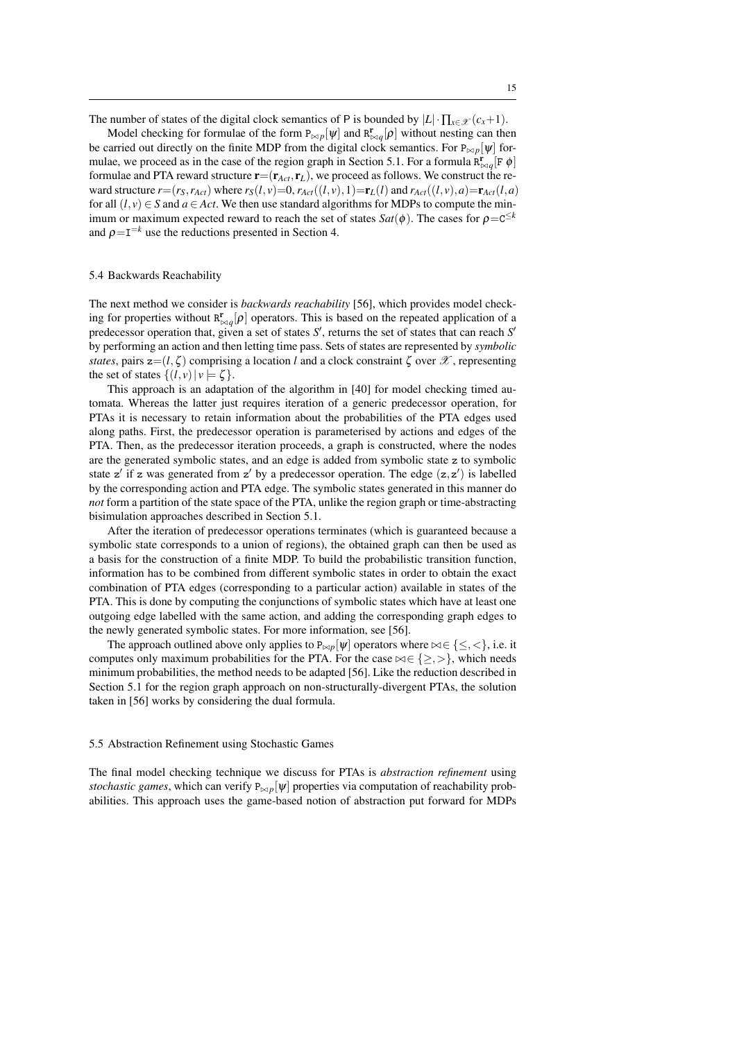The number of states of the digital clock semantics of P is bounded by  $|L| \cdot \prod_{x \in \mathcal{X}} (c_x + 1)$ .

Model checking for formulae of the form  $P_{\bowtie p}[\psi]$  and  $R^{\mathbf{r}}_{\bowtie q}[\rho]$  without nesting can then be carried out directly on the finite MDP from the digital clock semantics. For  $P_{\bowtie p}[\psi]$  for-mulae, we proceed as in the case of the region graph in Section [5.1.](#page-11-0) For a formula  $\mathbf{R}_{\bowtie q}^{\mathbf{r}}[\mathbf{F} \phi]$ formulae and PTA reward structure  $\mathbf{r}=(\mathbf{r}_{Act}, \mathbf{r}_L)$ , we proceed as follows. We construct the reward structure  $r=(r_S, r_{Act})$  where  $r_S(l, v)=0$ ,  $r_{Act}((l, v), 1)=r_L(l)$  and  $r_{Act}((l, v), a)=r_{Act}(l, a)$ for all  $(l, v) \in S$  and  $a \in Act$ . We then use standard algorithms for MDPs to compute the minimum or maximum expected reward to reach the set of states  $Sat(\phi)$ . The cases for  $\rho = c^{\leq k}$ and  $\rho = I^{-k}$  use the reductions presented in Section [4.](#page-7-0)

#### <span id="page-14-0"></span>5.4 Backwards Reachability

The next method we consider is *backwards reachability* [\[56\]](#page-25-1), which provides model checking for properties without  $R^{\mathbf{r}}_{\bowtie q}[\rho]$  operators. This is based on the repeated application of a predecessor operation that, given a set of states S', returns the set of states that can reach S' by performing an action and then letting time pass. Sets of states are represented by *symbolic states*, pairs  $z=(l,\zeta)$  comprising a location *l* and a clock constraint  $\zeta$  over  $\mathscr X$ , representing the set of states  $\{(l, v) | v \models \zeta\}.$ 

This approach is an adaptation of the algorithm in [\[40\]](#page-24-5) for model checking timed automata. Whereas the latter just requires iteration of a generic predecessor operation, for PTAs it is necessary to retain information about the probabilities of the PTA edges used along paths. First, the predecessor operation is parameterised by actions and edges of the PTA. Then, as the predecessor iteration proceeds, a graph is constructed, where the nodes are the generated symbolic states, and an edge is added from symbolic state z to symbolic state z' if z was generated from z' by a predecessor operation. The edge  $(z, z')$  is labelled by the corresponding action and PTA edge. The symbolic states generated in this manner do *not* form a partition of the state space of the PTA, unlike the region graph or time-abstracting bisimulation approaches described in Section [5.1.](#page-11-0)

After the iteration of predecessor operations terminates (which is guaranteed because a symbolic state corresponds to a union of regions), the obtained graph can then be used as a basis for the construction of a finite MDP. To build the probabilistic transition function, information has to be combined from different symbolic states in order to obtain the exact combination of PTA edges (corresponding to a particular action) available in states of the PTA. This is done by computing the conjunctions of symbolic states which have at least one outgoing edge labelled with the same action, and adding the corresponding graph edges to the newly generated symbolic states. For more information, see [\[56\]](#page-25-1).

The approach outlined above only applies to  $P_{\bowtie p}[\psi]$  operators where  $\bowtie \in \{\leq, <\}$ , i.e. it computes only maximum probabilities for the PTA. For the case  $\bowtie \in \{\geq, >\}$ , which needs minimum probabilities, the method needs to be adapted [\[56\]](#page-25-1). Like the reduction described in Section [5.1](#page-11-0) for the region graph approach on non-structurally-divergent PTAs, the solution taken in [\[56\]](#page-25-1) works by considering the dual formula.

#### 5.5 Abstraction Refinement using Stochastic Games

The final model checking technique we discuss for PTAs is *abstraction refinement* using *stochastic games*, which can verify  $P_{\bowtie p}[\psi]$  properties via computation of reachability probabilities. This approach uses the game-based notion of abstraction put forward for MDPs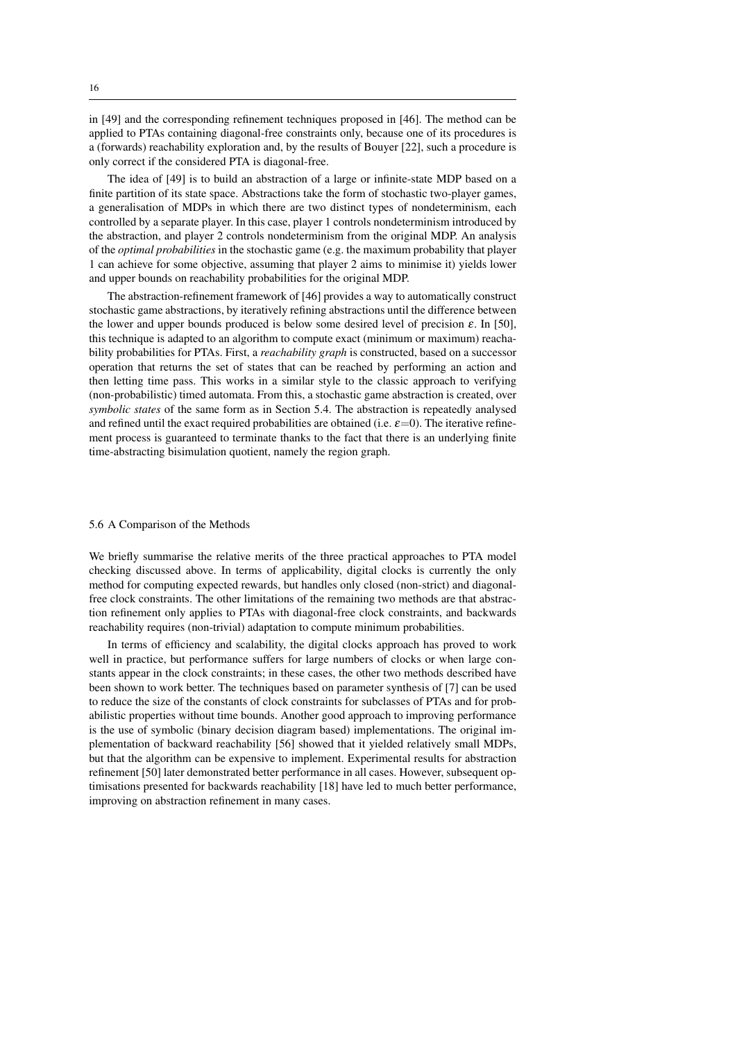in [\[49\]](#page-24-18) and the corresponding refinement techniques proposed in [\[46\]](#page-24-19). The method can be applied to PTAs containing diagonal-free constraints only, because one of its procedures is a (forwards) reachability exploration and, by the results of Bouyer [\[22\]](#page-23-16), such a procedure is only correct if the considered PTA is diagonal-free.

The idea of [\[49\]](#page-24-18) is to build an abstraction of a large or infinite-state MDP based on a finite partition of its state space. Abstractions take the form of stochastic two-player games, a generalisation of MDPs in which there are two distinct types of nondeterminism, each controlled by a separate player. In this case, player 1 controls nondeterminism introduced by the abstraction, and player 2 controls nondeterminism from the original MDP. An analysis of the *optimal probabilities* in the stochastic game (e.g. the maximum probability that player 1 can achieve for some objective, assuming that player 2 aims to minimise it) yields lower and upper bounds on reachability probabilities for the original MDP.

The abstraction-refinement framework of [\[46\]](#page-24-19) provides a way to automatically construct stochastic game abstractions, by iteratively refining abstractions until the difference between the lower and upper bounds produced is below some desired level of precision  $\varepsilon$ . In [\[50\]](#page-24-15), this technique is adapted to an algorithm to compute exact (minimum or maximum) reachability probabilities for PTAs. First, a *reachability graph* is constructed, based on a successor operation that returns the set of states that can be reached by performing an action and then letting time pass. This works in a similar style to the classic approach to verifying (non-probabilistic) timed automata. From this, a stochastic game abstraction is created, over *symbolic states* of the same form as in Section [5.4.](#page-14-0) The abstraction is repeatedly analysed and refined until the exact required probabilities are obtained (i.e.  $\varepsilon$ =0). The iterative refinement process is guaranteed to terminate thanks to the fact that there is an underlying finite time-abstracting bisimulation quotient, namely the region graph.

#### 5.6 A Comparison of the Methods

We briefly summarise the relative merits of the three practical approaches to PTA model checking discussed above. In terms of applicability, digital clocks is currently the only method for computing expected rewards, but handles only closed (non-strict) and diagonalfree clock constraints. The other limitations of the remaining two methods are that abstraction refinement only applies to PTAs with diagonal-free clock constraints, and backwards reachability requires (non-trivial) adaptation to compute minimum probabilities.

In terms of efficiency and scalability, the digital clocks approach has proved to work well in practice, but performance suffers for large numbers of clocks or when large constants appear in the clock constraints; in these cases, the other two methods described have been shown to work better. The techniques based on parameter synthesis of [\[7\]](#page-23-17) can be used to reduce the size of the constants of clock constraints for subclasses of PTAs and for probabilistic properties without time bounds. Another good approach to improving performance is the use of symbolic (binary decision diagram based) implementations. The original implementation of backward reachability [\[56\]](#page-25-1) showed that it yielded relatively small MDPs, but that the algorithm can be expensive to implement. Experimental results for abstraction refinement [\[50\]](#page-24-15) later demonstrated better performance in all cases. However, subsequent optimisations presented for backwards reachability [\[18\]](#page-23-18) have led to much better performance, improving on abstraction refinement in many cases.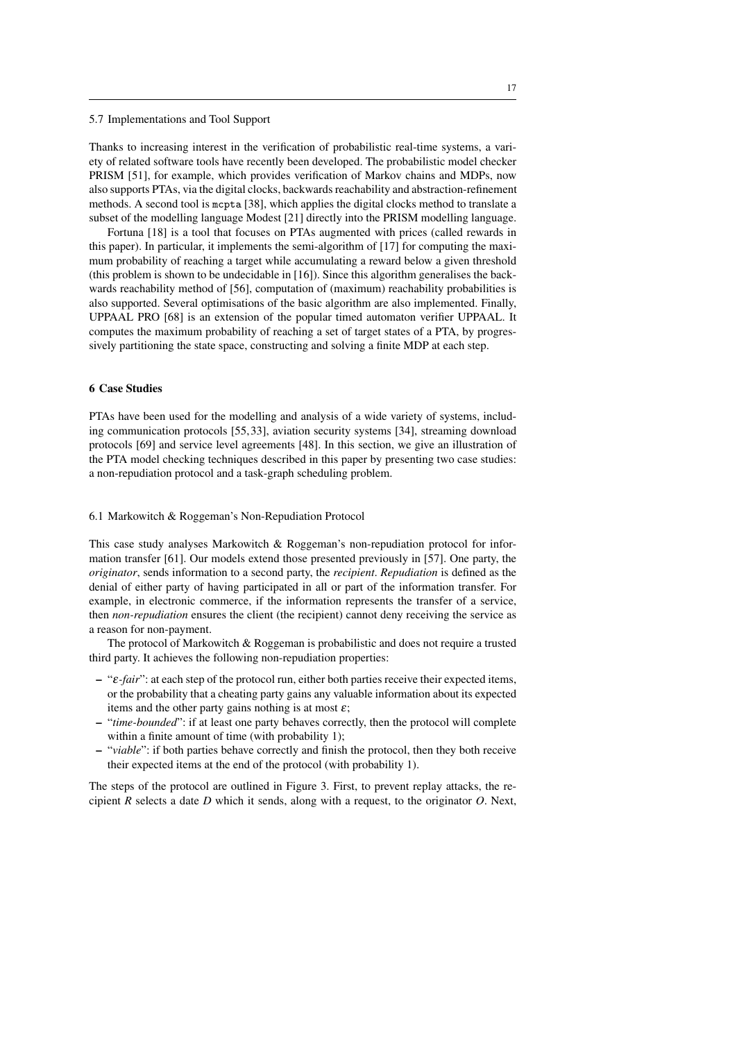#### 5.7 Implementations and Tool Support

Thanks to increasing interest in the verification of probabilistic real-time systems, a variety of related software tools have recently been developed. The probabilistic model checker PRISM [\[51\]](#page-24-0), for example, which provides verification of Markov chains and MDPs, now also supports PTAs, via the digital clocks, backwards reachability and abstraction-refinement methods. A second tool is mcpta [\[38\]](#page-24-20), which applies the digital clocks method to translate a subset of the modelling language Modest [\[21\]](#page-23-19) directly into the PRISM modelling language.

Fortuna [\[18\]](#page-23-18) is a tool that focuses on PTAs augmented with prices (called rewards in this paper). In particular, it implements the semi-algorithm of [\[17\]](#page-23-20) for computing the maximum probability of reaching a target while accumulating a reward below a given threshold (this problem is shown to be undecidable in [\[16\]](#page-23-21)). Since this algorithm generalises the backwards reachability method of [\[56\]](#page-25-1), computation of (maximum) reachability probabilities is also supported. Several optimisations of the basic algorithm are also implemented. Finally, UPPAAL PRO [\[68\]](#page-25-11) is an extension of the popular timed automaton verifier UPPAAL. It computes the maximum probability of reaching a set of target states of a PTA, by progressively partitioning the state space, constructing and solving a finite MDP at each step.

#### <span id="page-16-0"></span>6 Case Studies

PTAs have been used for the modelling and analysis of a wide variety of systems, including communication protocols [\[55,](#page-25-2) [33\]](#page-24-21), aviation security systems [\[34\]](#page-24-22), streaming download protocols [\[69\]](#page-25-12) and service level agreements [\[48\]](#page-24-23). In this section, we give an illustration of the PTA model checking techniques described in this paper by presenting two case studies: a non-repudiation protocol and a task-graph scheduling problem.

6.1 Markowitch & Roggeman's Non-Repudiation Protocol

This case study analyses Markowitch & Roggeman's non-repudiation protocol for information transfer [\[61\]](#page-25-13). Our models extend those presented previously in [\[57\]](#page-25-14). One party, the *originator*, sends information to a second party, the *recipient*. *Repudiation* is defined as the denial of either party of having participated in all or part of the information transfer. For example, in electronic commerce, if the information represents the transfer of a service, then *non-repudiation* ensures the client (the recipient) cannot deny receiving the service as a reason for non-payment.

The protocol of Markowitch & Roggeman is probabilistic and does not require a trusted third party. It achieves the following non-repudiation properties:

- "ε*-fair*": at each step of the protocol run, either both parties receive their expected items, or the probability that a cheating party gains any valuable information about its expected items and the other party gains nothing is at most  $\varepsilon$ ;
- "*time-bounded*": if at least one party behaves correctly, then the protocol will complete within a finite amount of time (with probability 1);
- "*viable*": if both parties behave correctly and finish the protocol, then they both receive their expected items at the end of the protocol (with probability 1).

The steps of the protocol are outlined in Figure [3.](#page-17-0) First, to prevent replay attacks, the recipient *R* selects a date *D* which it sends, along with a request, to the originator *O*. Next,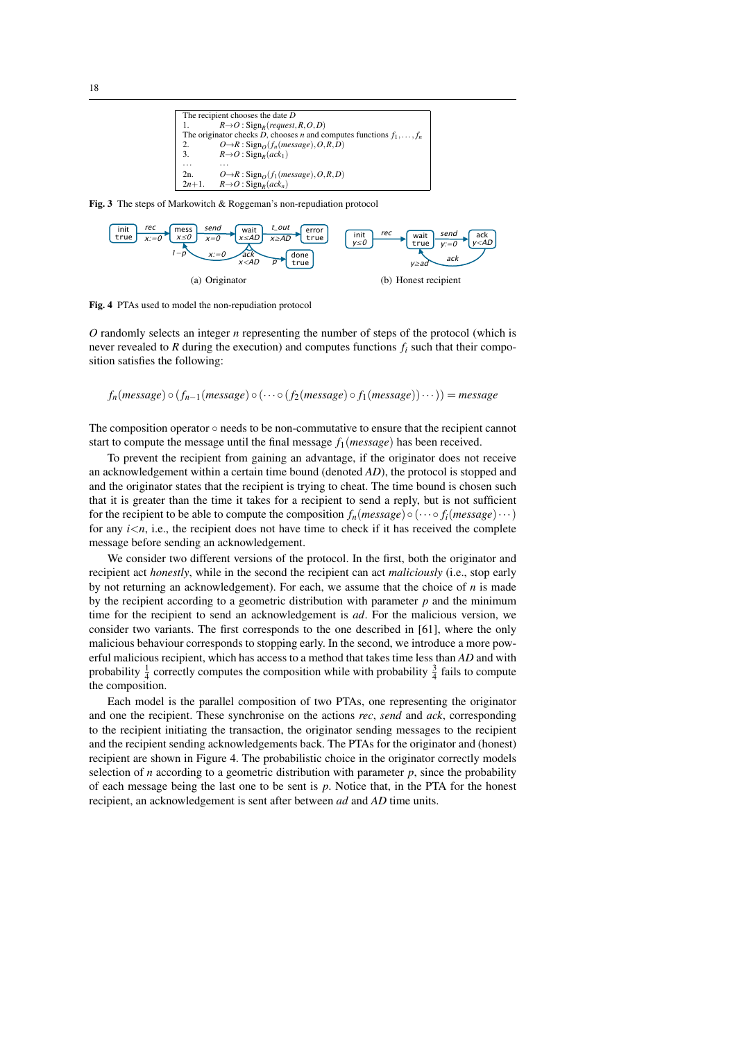

<span id="page-17-0"></span>Fig. 3 The steps of Markowitch & Roggeman's non-repudiation protocol



<span id="page-17-1"></span>Fig. 4 PTAs used to model the non-repudiation protocol

*O* randomly selects an integer *n* representing the number of steps of the protocol (which is never revealed to *R* during the execution) and computes functions  $f_i$  such that their composition satisfies the following:

$$
f_n(message) \circ (f_{n-1}(message) \circ (\cdots \circ (f_2(message) \circ f_1(message)) \cdots)) = message
$$

The composition operator  $\circ$  needs to be non-commutative to ensure that the recipient cannot start to compute the message until the final message *f*1(*message*) has been received.

To prevent the recipient from gaining an advantage, if the originator does not receive an acknowledgement within a certain time bound (denoted *AD*), the protocol is stopped and and the originator states that the recipient is trying to cheat. The time bound is chosen such that it is greater than the time it takes for a recipient to send a reply, but is not sufficient for the recipient to be able to compute the composition  $f_n$ (*message*)  $\circ$  ( $\cdots$   $\circ$   $f_i$ (*message*) $\cdots$ ) for any  $i \leq n$ , i.e., the recipient does not have time to check if it has received the complete message before sending an acknowledgement.

We consider two different versions of the protocol. In the first, both the originator and recipient act *honestly*, while in the second the recipient can act *maliciously* (i.e., stop early by not returning an acknowledgement). For each, we assume that the choice of *n* is made by the recipient according to a geometric distribution with parameter *p* and the minimum time for the recipient to send an acknowledgement is *ad*. For the malicious version, we consider two variants. The first corresponds to the one described in [\[61\]](#page-25-13), where the only malicious behaviour corresponds to stopping early. In the second, we introduce a more powerful malicious recipient, which has access to a method that takes time less than *AD* and with probability  $\frac{1}{4}$  correctly computes the composition while with probability  $\frac{3}{4}$  fails to compute the composition.

Each model is the parallel composition of two PTAs, one representing the originator and one the recipient. These synchronise on the actions *rec*, *send* and *ack*, corresponding to the recipient initiating the transaction, the originator sending messages to the recipient and the recipient sending acknowledgements back. The PTAs for the originator and (honest) recipient are shown in Figure [4.](#page-17-1) The probabilistic choice in the originator correctly models selection of *n* according to a geometric distribution with parameter  $p$ , since the probability of each message being the last one to be sent is *p*. Notice that, in the PTA for the honest recipient, an acknowledgement is sent after between *ad* and *AD* time units.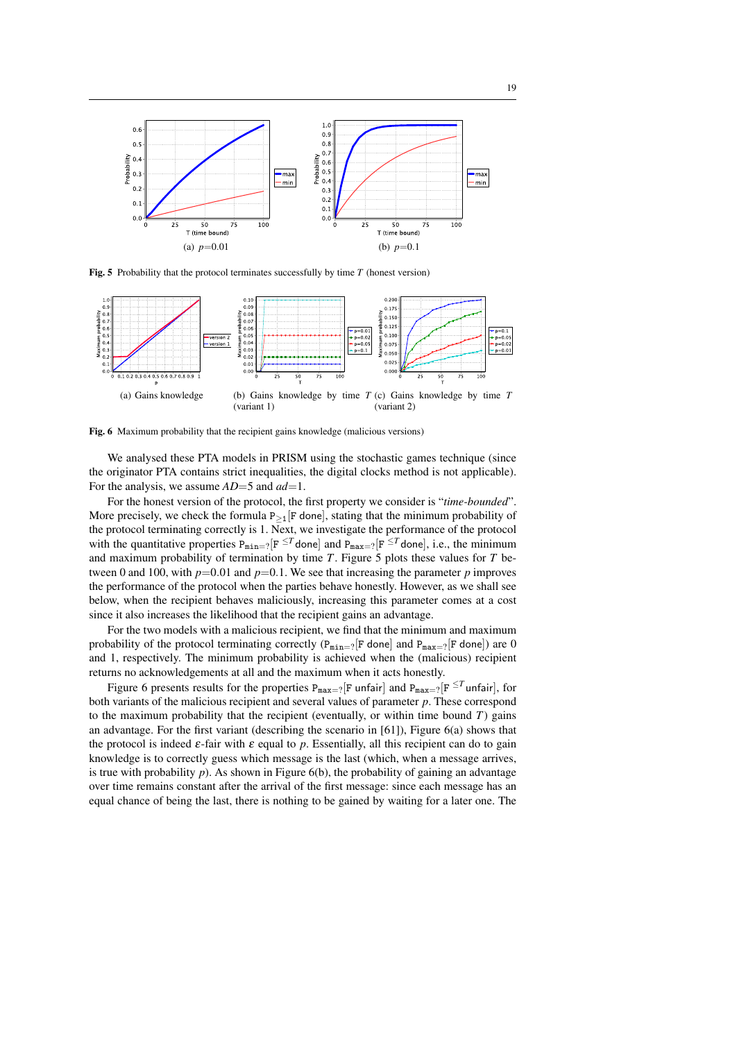

<span id="page-18-0"></span>Fig. 5 Probability that the protocol terminates successfully by time *T* (honest version)



<span id="page-18-1"></span>Fig. 6 Maximum probability that the recipient gains knowledge (malicious versions)

We analysed these PTA models in PRISM using the stochastic games technique (since the originator PTA contains strict inequalities, the digital clocks method is not applicable). For the analysis, we assume *AD*=5 and *ad*=1.

For the honest version of the protocol, the first property we consider is "*time-bounded*". More precisely, we check the formula  $P_{\geq 1}$ [F done], stating that the minimum probability of the protocol terminating correctly is 1. Next, we investigate the performance of the protocol with the quantitative properties  $P_{\min=?}[F^{\leq T}$  done] and  $P_{\max=?}[F^{\leq T}$  done], i.e., the minimum and maximum probability of termination by time *T*. Figure [5](#page-18-0) plots these values for *T* between 0 and 100, with  $p=0.01$  and  $p=0.1$ . We see that increasing the parameter  $p$  improves the performance of the protocol when the parties behave honestly. However, as we shall see below, when the recipient behaves maliciously, increasing this parameter comes at a cost since it also increases the likelihood that the recipient gains an advantage.

For the two models with a malicious recipient, we find that the minimum and maximum probability of the protocol terminating correctly ( $P_{\text{min}=?}[F \text{ done}]$  and  $P_{\text{max}=?}[F \text{ done}]$ ) are 0 and 1, respectively. The minimum probability is achieved when the (malicious) recipient returns no acknowledgements at all and the maximum when it acts honestly.

Figure [6](#page-18-1) presents results for the properties  $P_{max=?}[F \text{ unfair}]$  and  $P_{max=?}[F \leq T \text{ unfair}]$ , for both variants of the malicious recipient and several values of parameter *p*. These correspond to the maximum probability that the recipient (eventually, or within time bound *T*) gains an advantage. For the first variant (describing the scenario in [\[61\]](#page-25-13)), Figure [6\(](#page-18-1)a) shows that the protocol is indeed  $\varepsilon$ -fair with  $\varepsilon$  equal to p. Essentially, all this recipient can do to gain knowledge is to correctly guess which message is the last (which, when a message arrives, is true with probability  $p$ ). As shown in Figure  $6(b)$ , the probability of gaining an advantage over time remains constant after the arrival of the first message: since each message has an equal chance of being the last, there is nothing to be gained by waiting for a later one. The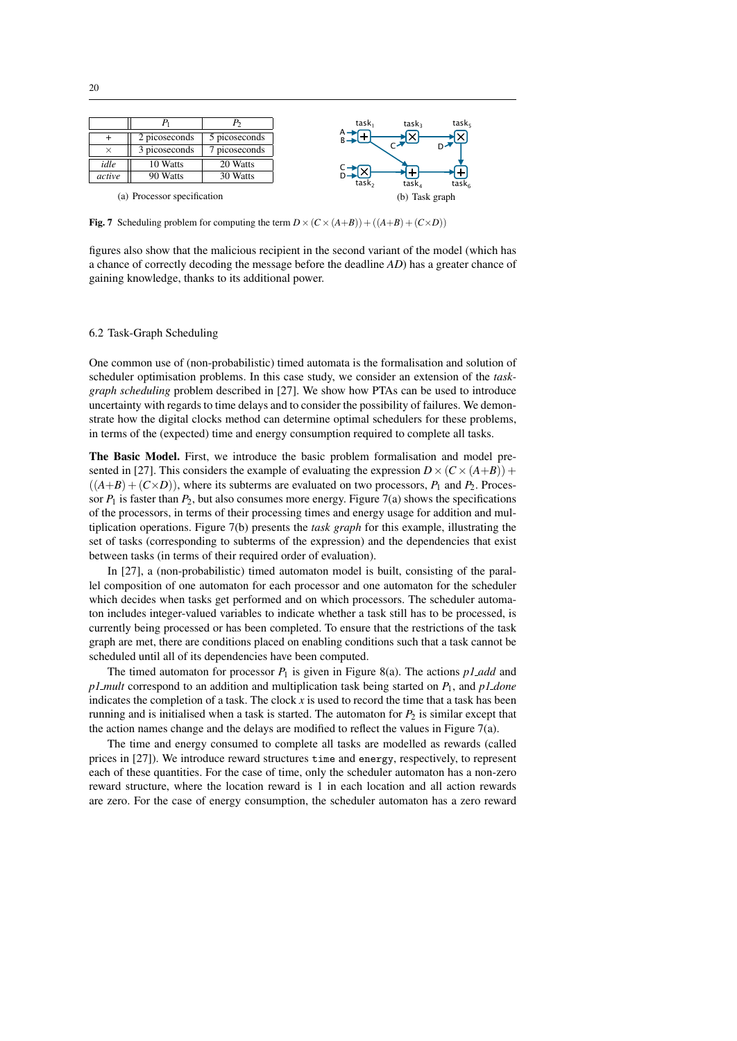

<span id="page-19-0"></span>**Fig. 7** Scheduling problem for computing the term  $D \times (C \times (A+B)) + ((A+B) + (C \times D))$ 

figures also show that the malicious recipient in the second variant of the model (which has a chance of correctly decoding the message before the deadline *AD*) has a greater chance of gaining knowledge, thanks to its additional power.

#### 6.2 Task-Graph Scheduling

One common use of (non-probabilistic) timed automata is the formalisation and solution of scheduler optimisation problems. In this case study, we consider an extension of the *taskgraph scheduling* problem described in [\[27\]](#page-23-22). We show how PTAs can be used to introduce uncertainty with regards to time delays and to consider the possibility of failures. We demonstrate how the digital clocks method can determine optimal schedulers for these problems, in terms of the (expected) time and energy consumption required to complete all tasks.

The Basic Model. First, we introduce the basic problem formalisation and model pre-sented in [\[27\]](#page-23-22). This considers the example of evaluating the expression  $D \times (C \times (A+B))$  +  $((A+B)+(C\times D))$ , where its subterms are evaluated on two processors,  $P_1$  and  $P_2$ . Processor  $P_1$  is faster than  $P_2$ , but also consumes more energy. Figure [7\(](#page-19-0)a) shows the specifications of the processors, in terms of their processing times and energy usage for addition and multiplication operations. Figure [7\(](#page-19-0)b) presents the *task graph* for this example, illustrating the set of tasks (corresponding to subterms of the expression) and the dependencies that exist between tasks (in terms of their required order of evaluation).

In [\[27\]](#page-23-22), a (non-probabilistic) timed automaton model is built, consisting of the parallel composition of one automaton for each processor and one automaton for the scheduler which decides when tasks get performed and on which processors. The scheduler automaton includes integer-valued variables to indicate whether a task still has to be processed, is currently being processed or has been completed. To ensure that the restrictions of the task graph are met, there are conditions placed on enabling conditions such that a task cannot be scheduled until all of its dependencies have been computed.

The timed automaton for processor *P*<sup>1</sup> is given in Figure [8\(](#page-20-0)a). The actions *p1 add* and *p1 mult* correspond to an addition and multiplication task being started on *P*1, and *p1 done* indicates the completion of a task. The clock  $x$  is used to record the time that a task has been running and is initialised when a task is started. The automaton for  $P_2$  is similar except that the action names change and the delays are modified to reflect the values in Figure [7\(](#page-19-0)a).

The time and energy consumed to complete all tasks are modelled as rewards (called prices in [\[27\]](#page-23-22)). We introduce reward structures time and energy, respectively, to represent each of these quantities. For the case of time, only the scheduler automaton has a non-zero reward structure, where the location reward is 1 in each location and all action rewards are zero. For the case of energy consumption, the scheduler automaton has a zero reward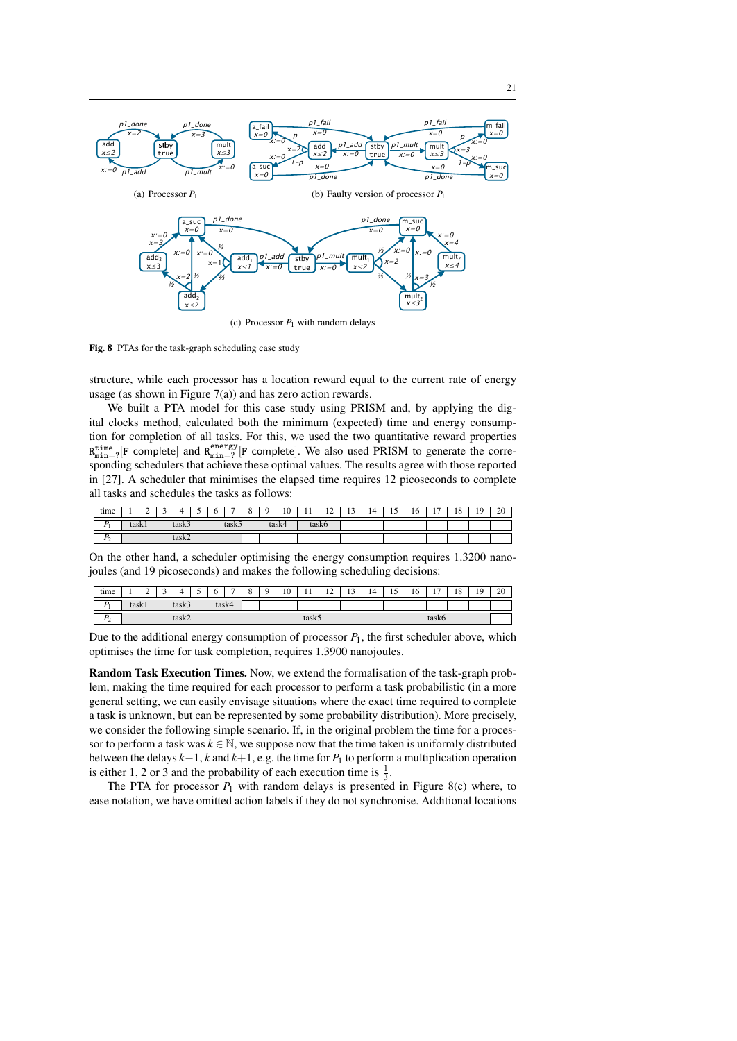

(c) Processor  $P_1$  with random delays

<span id="page-20-0"></span>Fig. 8 PTAs for the task-graph scheduling case study

structure, while each processor has a location reward equal to the current rate of energy usage (as shown in Figure  $7(a)$ ) and has zero action rewards.

We built a PTA model for this case study using PRISM and, by applying the digital clocks method, calculated both the minimum (expected) time and energy consumption for completion of all tasks. For this, we used the two quantitative reward properties  $R_{\text{min}=2}^{\text{time}}$  [F complete] and  $R_{\text{min}=2}^{\text{energy}}$  [F complete]. We also used PRISM to generate the corresponding schedulers that achieve these optimal values. The results agree with those reported in [\[27\]](#page-23-22). A scheduler that minimises the elapsed time requires 12 picoseconds to complete all tasks and schedules the tasks as follows:

| time |                 | - | ◡ | . .   |  | ∼ | -                      | $\sim$<br>ັ | $\sim$ | $\overline{10}$<br>10 | - 4<br>. . | $\sim$<br>-- | $\sim$<br>- 10 | ∸<br>. . | $\overline{\phantom{0}}$<br>. . | 10 | . – | 1 O<br>10 | 10<br>. . | 20 |
|------|-----------------|---|---|-------|--|---|------------------------|-------------|--------|-----------------------|------------|--------------|----------------|----------|---------------------------------|----|-----|-----------|-----------|----|
| n    | task3<br>task l |   |   | task: |  |   | toelz/l<br>$\mu$ asiya |             | task6  |                       |            |              |                |          |                                 |    |     |           |           |    |
| n    | task2           |   |   |       |  |   |                        |             |        |                       |            |              |                |          |                                 |    |     |           |           |    |

On the other hand, a scheduler optimising the energy consumption requires 1.3200 nanojoules (and 19 picoseconds) and makes the following scheduling decisions:

| time              | л.              | - |  |  |  | ∼     | - | ∼ | $\sim$<br>1 U | . .   | $\sim$<br>-- | $\sim$<br>1J | ⊣<br><b>IT</b> | -<br> | 10    | $\overline{a}$<br>$\mathbf{r}$ | $\overline{1}$ $\overline{O}$<br>10 | 1 <sub>Q</sub><br>. . | 20 |
|-------------------|-----------------|---|--|--|--|-------|---|---|---------------|-------|--------------|--------------|----------------|-------|-------|--------------------------------|-------------------------------------|-----------------------|----|
| D.                | task l<br>task: |   |  |  |  | task4 |   |   |               |       |              |              |                |       |       |                                |                                     |                       |    |
| $\mathbf{D}$<br>- | task2           |   |  |  |  |       |   |   |               | task5 |              |              |                |       | task6 |                                |                                     |                       |    |

Due to the additional energy consumption of processor  $P_1$ , the first scheduler above, which optimises the time for task completion, requires 1.3900 nanojoules.

Random Task Execution Times. Now, we extend the formalisation of the task-graph problem, making the time required for each processor to perform a task probabilistic (in a more general setting, we can easily envisage situations where the exact time required to complete a task is unknown, but can be represented by some probability distribution). More precisely, we consider the following simple scenario. If, in the original problem the time for a processor to perform a task was  $k \in \mathbb{N}$ , we suppose now that the time taken is uniformly distributed between the delays *k*−1, *k* and *k*+1, e.g. the time for *P*<sup>1</sup> to perform a multiplication operation is either 1, 2 or 3 and the probability of each execution time is  $\frac{1}{3}$ .

The PTA for processor  $P_1$  with random delays is presented in Figure [8\(](#page-20-0)c) where, to ease notation, we have omitted action labels if they do not synchronise. Additional locations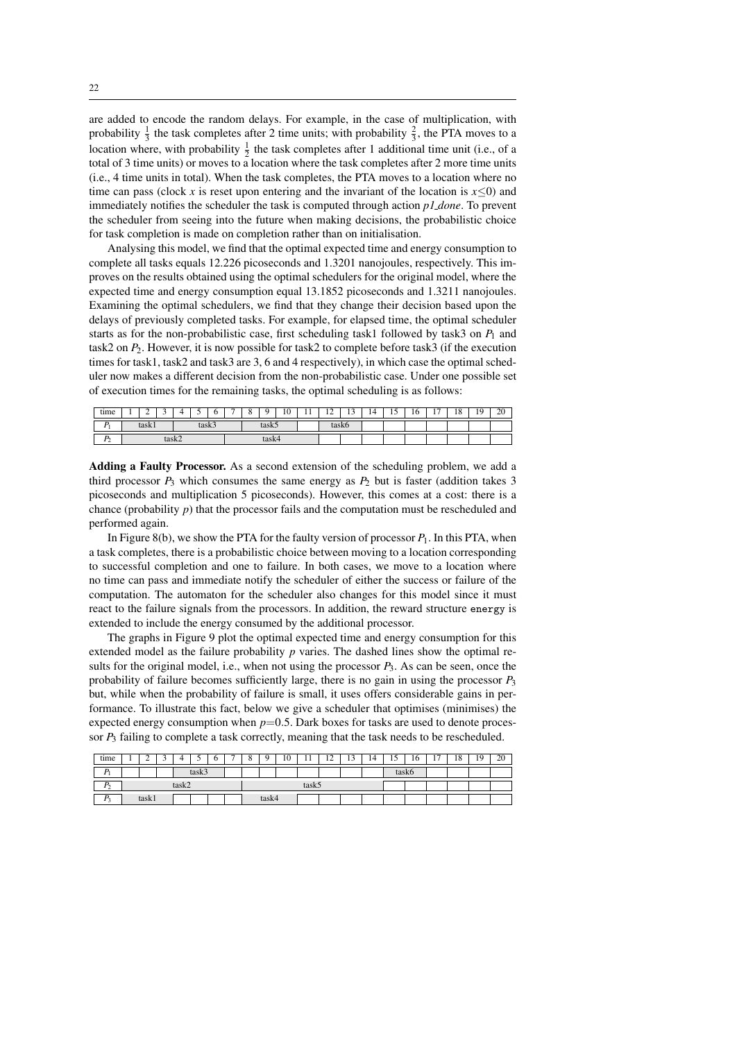are added to encode the random delays. For example, in the case of multiplication, with probability  $\frac{1}{3}$  the task completes after 2 time units; with probability  $\frac{2}{3}$ , the PTA moves to a location where, with probability  $\frac{1}{2}$  the task completes after 1 additional time unit (i.e., of a total of 3 time units) or moves to a location where the task completes after 2 more time units (i.e., 4 time units in total). When the task completes, the PTA moves to a location where no time can pass (clock *x* is reset upon entering and the invariant of the location is  $x \le 0$ ) and immediately notifies the scheduler the task is computed through action *p1 done*. To prevent the scheduler from seeing into the future when making decisions, the probabilistic choice for task completion is made on completion rather than on initialisation.

Analysing this model, we find that the optimal expected time and energy consumption to complete all tasks equals 12.226 picoseconds and 1.3201 nanojoules, respectively. This improves on the results obtained using the optimal schedulers for the original model, where the expected time and energy consumption equal 13.1852 picoseconds and 1.3211 nanojoules. Examining the optimal schedulers, we find that they change their decision based upon the delays of previously completed tasks. For example, for elapsed time, the optimal scheduler starts as for the non-probabilistic case, first scheduling task1 followed by task3 on  $P_1$  and task2 on *P*2. However, it is now possible for task2 to complete before task3 (if the execution times for task1, task2 and task3 are 3, 6 and 4 respectively), in which case the optimal scheduler now makes a different decision from the non-probabilistic case. Under one possible set of execution times for the remaining tasks, the optimal scheduling is as follows:

| tıme | л.             | <b>_</b> |  |  |  |  | - | ∼ |                    | 10 | - 4<br>. . | $\sim$<br>$\overline{ }$ | $\sim$<br> | ∸<br>. . | $\overline{\phantom{0}}$<br>. . | 10 | $\overline{\phantom{0}}$<br>$\mathbf{r}$ | ıΩ<br>10 | 1 <sub>Q</sub><br>. . | $\Omega$<br>ZU |
|------|----------------|----------|--|--|--|--|---|---|--------------------|----|------------|--------------------------|------------|----------|---------------------------------|----|------------------------------------------|----------|-----------------------|----------------|
| Ð    | task:<br>laðn. |          |  |  |  |  |   |   |                    |    | iasnu      |                          |            |          |                                 |    |                                          |          |                       |                |
| ∸    | task2          |          |  |  |  |  |   |   | $\mu$ <sub>0</sub> |    |            |                          |            |          |                                 |    |                                          |          |                       |                |

Adding a Faulty Processor. As a second extension of the scheduling problem, we add a third processor  $P_3$  which consumes the same energy as  $P_2$  but is faster (addition takes 3 picoseconds and multiplication 5 picoseconds). However, this comes at a cost: there is a chance (probability *p*) that the processor fails and the computation must be rescheduled and performed again.

In Figure [8\(](#page-20-0)b), we show the PTA for the faulty version of processor  $P_1$ . In this PTA, when a task completes, there is a probabilistic choice between moving to a location corresponding to successful completion and one to failure. In both cases, we move to a location where no time can pass and immediate notify the scheduler of either the success or failure of the computation. The automaton for the scheduler also changes for this model since it must react to the failure signals from the processors. In addition, the reward structure energy is extended to include the energy consumed by the additional processor.

The graphs in Figure [9](#page-22-2) plot the optimal expected time and energy consumption for this extended model as the failure probability *p* varies. The dashed lines show the optimal results for the original model, i.e., when not using the processor *P*3. As can be seen, once the probability of failure becomes sufficiently large, there is no gain in using the processor *P*<sup>3</sup> but, while when the probability of failure is small, it uses offers considerable gains in performance. To illustrate this fact, below we give a scheduler that optimises (minimises) the expected energy consumption when  $p=0.5$ . Dark boxes for tasks are used to denote processor *P*<sup>3</sup> failing to complete a task correctly, meaning that the task needs to be rescheduled.

| time                 | ∸     |  |       |  | υ | - | O | $\Omega$ | 10 | $\pm$ | $1^{\circ}$<br>$\overline{1}$ | 12<br>IJ | 14 | ⊥     | 16 | $\overline{\phantom{0}}$<br>. . | 18 | 19 | 20 |
|----------------------|-------|--|-------|--|---|---|---|----------|----|-------|-------------------------------|----------|----|-------|----|---------------------------------|----|----|----|
|                      | toolz |  |       |  |   |   |   |          |    |       |                               |          |    | task6 |    |                                 |    |    |    |
|                      |       |  | task2 |  |   |   |   |          |    | task5 |                               |          |    |       |    |                                 |    |    |    |
| P.<br>$\overline{1}$ | task  |  |       |  |   |   |   | task4    |    |       |                               |          |    |       |    |                                 |    |    |    |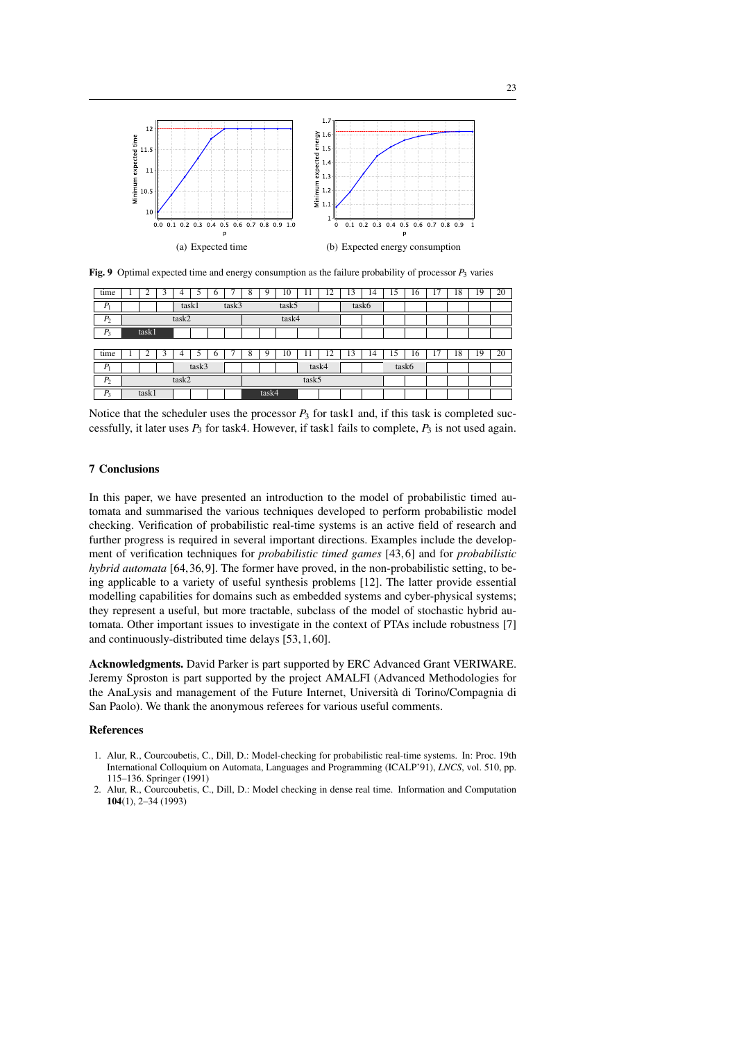

<span id="page-22-2"></span>Fig. 9 Optimal expected time and energy consumption as the failure probability of processor  $P_3$  varies

| time           |                | ◠     | 3 | 4     |       | 6 | ⇁ | 8     | 9 | 10 | 11    | 12 | 13 | 14    | 15 | 16    | 17 | 18 | 19 | 20 |
|----------------|----------------|-------|---|-------|-------|---|---|-------|---|----|-------|----|----|-------|----|-------|----|----|----|----|
| $P_1$          | task1<br>task3 |       |   |       |       |   |   | task5 |   |    |       |    |    | task6 |    |       |    |    |    |    |
| P <sub>2</sub> | task2          |       |   |       |       |   |   | task4 |   |    |       |    |    |       |    |       |    |    |    |    |
| $P_3$          |                | task1 |   |       |       |   |   |       |   |    |       |    |    |       |    |       |    |    |    |    |
|                |                |       |   |       |       |   |   |       |   |    |       |    |    |       |    |       |    |    |    |    |
| time           |                | ◠     | 3 | 4     | 5     | 6 |   | 8     | Q | 10 | 11    | 12 | 13 | 14    | 15 | 16    | 17 | 18 | 19 | 20 |
| $P_1$          |                |       |   |       | task3 |   |   | task4 |   |    |       |    |    |       |    | task6 |    |    |    |    |
| P <sub>2</sub> |                |       |   | task2 |       |   |   |       |   |    | task5 |    |    |       |    |       |    |    |    |    |
| $P_3$          | task1          |       |   |       |       |   |   | task4 |   |    |       |    |    |       |    |       |    |    |    |    |

Notice that the scheduler uses the processor  $P_3$  for task1 and, if this task is completed successfully, it later uses *P*<sup>3</sup> for task4. However, if task1 fails to complete, *P*<sup>3</sup> is not used again.

# 7 Conclusions

In this paper, we have presented an introduction to the model of probabilistic timed automata and summarised the various techniques developed to perform probabilistic model checking. Verification of probabilistic real-time systems is an active field of research and further progress is required in several important directions. Examples include the development of verification techniques for *probabilistic timed games* [\[43,](#page-24-14) [6\]](#page-23-23) and for *probabilistic hybrid automata* [\[64,](#page-25-8) [36,](#page-24-24) [9\]](#page-23-24). The former have proved, in the non-probabilistic setting, to being applicable to a variety of useful synthesis problems [\[12\]](#page-23-25). The latter provide essential modelling capabilities for domains such as embedded systems and cyber-physical systems; they represent a useful, but more tractable, subclass of the model of stochastic hybrid automata. Other important issues to investigate in the context of PTAs include robustness [\[7\]](#page-23-17) and continuously-distributed time delays [\[53,](#page-24-10) [1,](#page-22-1) [60\]](#page-25-15).

Acknowledgments. David Parker is part supported by ERC Advanced Grant VERIWARE. Jeremy Sproston is part supported by the project AMALFI (Advanced Methodologies for the AnaLysis and management of the Future Internet, Universita di Torino/Compagnia di ` San Paolo). We thank the anonymous referees for various useful comments.

# **References**

- <span id="page-22-1"></span>1. Alur, R., Courcoubetis, C., Dill, D.: Model-checking for probabilistic real-time systems. In: Proc. 19th International Colloquium on Automata, Languages and Programming (ICALP'91), *LNCS*, vol. 510, pp. 115–136. Springer (1991)
- <span id="page-22-0"></span>2. Alur, R., Courcoubetis, C., Dill, D.: Model checking in dense real time. Information and Computation 104(1), 2–34 (1993)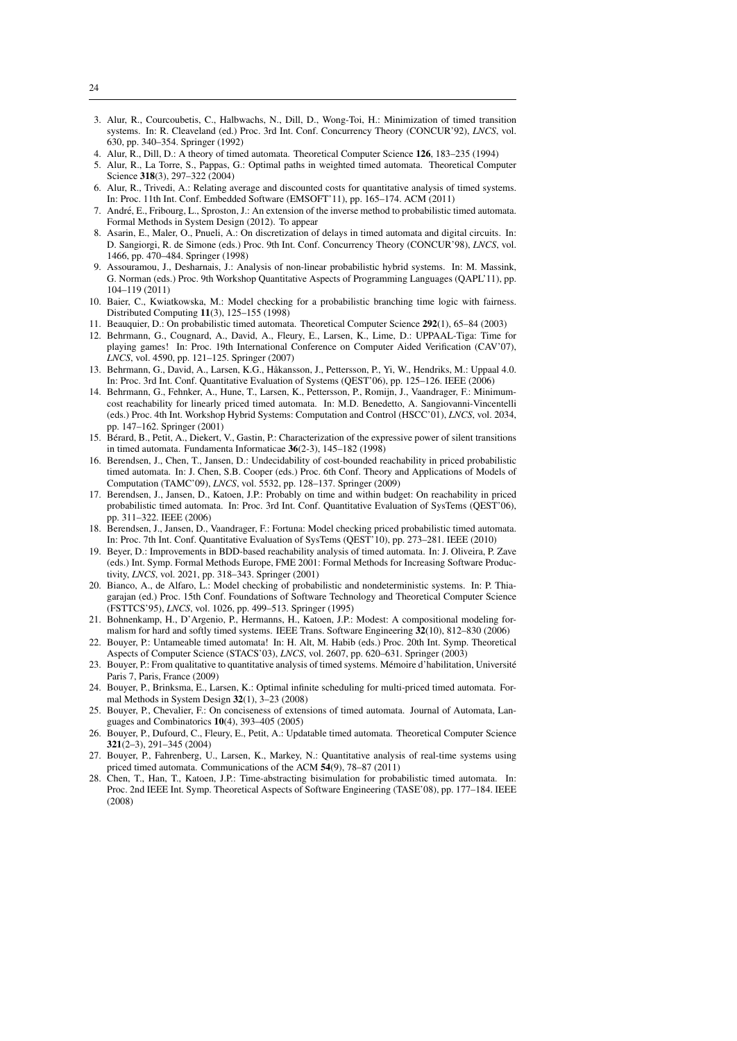- <span id="page-23-10"></span>3. Alur, R., Courcoubetis, C., Halbwachs, N., Dill, D., Wong-Toi, H.: Minimization of timed transition systems. In: R. Cleaveland (ed.) Proc. 3rd Int. Conf. Concurrency Theory (CONCUR'92), *LNCS*, vol. 630, pp. 340–354. Springer (1992)
- <span id="page-23-2"></span>4. Alur, R., Dill, D.: A theory of timed automata. Theoretical Computer Science 126, 183-235 (1994)
- <span id="page-23-4"></span>5. Alur, R., La Torre, S., Pappas, G.: Optimal paths in weighted timed automata. Theoretical Computer Science 318(3), 297–322 (2004)
- <span id="page-23-23"></span>6. Alur, R., Trivedi, A.: Relating average and discounted costs for quantitative analysis of timed systems. In: Proc. 11th Int. Conf. Embedded Software (EMSOFT'11), pp. 165–174. ACM (2011)
- <span id="page-23-17"></span>7. Andre, E., Fribourg, L., Sproston, J.: An extension of the inverse method to probabilistic timed automata. ´ Formal Methods in System Design (2012). To appear
- <span id="page-23-13"></span>8. Asarin, E., Maler, O., Pnueli, A.: On discretization of delays in timed automata and digital circuits. In: D. Sangiorgi, R. de Simone (eds.) Proc. 9th Int. Conf. Concurrency Theory (CONCUR'98), *LNCS*, vol. 1466, pp. 470–484. Springer (1998)
- <span id="page-23-24"></span>9. Assouramou, J., Desharnais, J.: Analysis of non-linear probabilistic hybrid systems. In: M. Massink, G. Norman (eds.) Proc. 9th Workshop Quantitative Aspects of Programming Languages (QAPL'11), pp. 104–119 (2011)
- <span id="page-23-9"></span>10. Baier, C., Kwiatkowska, M.: Model checking for a probabilistic branching time logic with fairness. Distributed Computing 11(3), 125–155 (1998)
- <span id="page-23-1"></span>11. Beauquier, D.: On probabilistic timed automata. Theoretical Computer Science 292(1), 65–84 (2003)
- <span id="page-23-25"></span>12. Behrmann, G., Cougnard, A., David, A., Fleury, E., Larsen, K., Lime, D.: UPPAAL-Tiga: Time for playing games! In: Proc. 19th International Conference on Computer Aided Verification (CAV'07), *LNCS*, vol. 4590, pp. 121–125. Springer (2007)
- <span id="page-23-0"></span>13. Behrmann, G., David, A., Larsen, K.G., Håkansson, J., Pettersson, P., Yi, W., Hendriks, M.: Uppaal 4.0. In: Proc. 3rd Int. Conf. Quantitative Evaluation of Systems (QEST'06), pp. 125–126. IEEE (2006)
- <span id="page-23-3"></span>14. Behrmann, G., Fehnker, A., Hune, T., Larsen, K., Pettersson, P., Romijn, J., Vaandrager, F.: Minimumcost reachability for linearly priced timed automata. In: M.D. Benedetto, A. Sangiovanni-Vincentelli (eds.) Proc. 4th Int. Workshop Hybrid Systems: Computation and Control (HSCC'01), *LNCS*, vol. 2034, pp. 147–162. Springer (2001)
- <span id="page-23-15"></span>15. Berard, B., Petit, A., Diekert, V., Gastin, P.: Characterization of the expressive power of silent transitions ´ in timed automata. Fundamenta Informaticae 36(2-3), 145–182 (1998)
- <span id="page-23-21"></span>16. Berendsen, J., Chen, T., Jansen, D.: Undecidability of cost-bounded reachability in priced probabilistic timed automata. In: J. Chen, S.B. Cooper (eds.) Proc. 6th Conf. Theory and Applications of Models of Computation (TAMC'09), *LNCS*, vol. 5532, pp. 128–137. Springer (2009)
- <span id="page-23-20"></span>17. Berendsen, J., Jansen, D., Katoen, J.P.: Probably on time and within budget: On reachability in priced probabilistic timed automata. In: Proc. 3rd Int. Conf. Quantitative Evaluation of SysTems (QEST'06), pp. 311–322. IEEE (2006)
- <span id="page-23-18"></span>18. Berendsen, J., Jansen, D., Vaandrager, F.: Fortuna: Model checking priced probabilistic timed automata. In: Proc. 7th Int. Conf. Quantitative Evaluation of SysTems (QEST'10), pp. 273–281. IEEE (2010)
- <span id="page-23-14"></span>19. Beyer, D.: Improvements in BDD-based reachability analysis of timed automata. In: J. Oliveira, P. Zave (eds.) Int. Symp. Formal Methods Europe, FME 2001: Formal Methods for Increasing Software Productivity, *LNCS*, vol. 2021, pp. 318–343. Springer (2001)
- <span id="page-23-7"></span>20. Bianco, A., de Alfaro, L.: Model checking of probabilistic and nondeterministic systems. In: P. Thiagarajan (ed.) Proc. 15th Conf. Foundations of Software Technology and Theoretical Computer Science (FSTTCS'95), *LNCS*, vol. 1026, pp. 499–513. Springer (1995)
- <span id="page-23-19"></span>21. Bohnenkamp, H., D'Argenio, P., Hermanns, H., Katoen, J.P.: Modest: A compositional modeling formalism for hard and softly timed systems. IEEE Trans. Software Engineering 32(10), 812–830 (2006)
- <span id="page-23-16"></span>22. Bouyer, P.: Untameable timed automata! In: H. Alt, M. Habib (eds.) Proc. 20th Int. Symp. Theoretical Aspects of Computer Science (STACS'03), *LNCS*, vol. 2607, pp. 620–631. Springer (2003)
- <span id="page-23-8"></span>23. Bouyer, P.: From qualitative to quantitative analysis of timed systems. Mémoire d'habilitation, Université Paris 7, Paris, France (2009)
- <span id="page-23-12"></span>24. Bouyer, P., Brinksma, E., Larsen, K.: Optimal infinite scheduling for multi-priced timed automata. Formal Methods in System Design 32(1), 3–23 (2008)
- <span id="page-23-6"></span>25. Bouyer, P., Chevalier, F.: On conciseness of extensions of timed automata. Journal of Automata, Languages and Combinatorics  $10(4)$ , 393–405 (2005)
- <span id="page-23-5"></span>26. Bouyer, P., Dufourd, C., Fleury, E., Petit, A.: Updatable timed automata. Theoretical Computer Science 321(2–3), 291–345 (2004)
- <span id="page-23-22"></span>27. Bouyer, P., Fahrenberg, U., Larsen, K., Markey, N.: Quantitative analysis of real-time systems using priced timed automata. Communications of the ACM 54(9), 78–87 (2011)
- <span id="page-23-11"></span>28. Chen, T., Han, T., Katoen, J.P.: Time-abstracting bisimulation for probabilistic timed automata. In: Proc. 2nd IEEE Int. Symp. Theoretical Aspects of Software Engineering (TASE'08), pp. 177–184. IEEE (2008)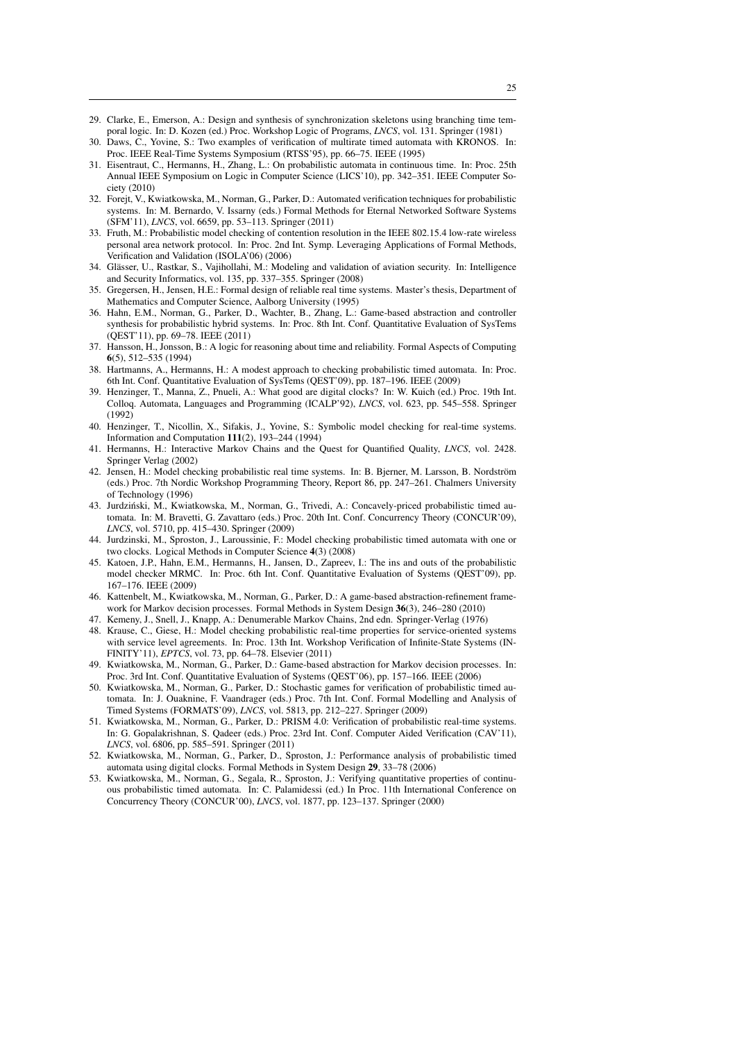- <span id="page-24-12"></span>29. Clarke, E., Emerson, A.: Design and synthesis of synchronization skeletons using branching time temporal logic. In: D. Kozen (ed.) Proc. Workshop Logic of Programs, *LNCS*, vol. 131. Springer (1981)
- <span id="page-24-7"></span>30. Daws, C., Yovine, S.: Two examples of verification of multirate timed automata with KRONOS. In: Proc. IEEE Real-Time Systems Symposium (RTSS'95), pp. 66–75. IEEE (1995)
- <span id="page-24-9"></span>31. Eisentraut, C., Hermanns, H., Zhang, L.: On probabilistic automata in continuous time. In: Proc. 25th Annual IEEE Symposium on Logic in Computer Science (LICS'10), pp. 342–351. IEEE Computer Society (2010)
- <span id="page-24-13"></span>32. Forejt, V., Kwiatkowska, M., Norman, G., Parker, D.: Automated verification techniques for probabilistic systems. In: M. Bernardo, V. Issarny (eds.) Formal Methods for Eternal Networked Software Systems (SFM'11), *LNCS*, vol. 6659, pp. 53–113. Springer (2011)
- <span id="page-24-21"></span>33. Fruth, M.: Probabilistic model checking of contention resolution in the IEEE 802.15.4 low-rate wireless personal area network protocol. In: Proc. 2nd Int. Symp. Leveraging Applications of Formal Methods, Verification and Validation (ISOLA'06) (2006)
- <span id="page-24-22"></span>34. Glässer, U., Rastkar, S., Vajihollahi, M.: Modeling and validation of aviation security. In: Intelligence and Security Informatics, vol. 135, pp. 337–355. Springer (2008)
- <span id="page-24-2"></span>35. Gregersen, H., Jensen, H.E.: Formal design of reliable real time systems. Master's thesis, Department of Mathematics and Computer Science, Aalborg University (1995)
- <span id="page-24-24"></span>36. Hahn, E.M., Norman, G., Parker, D., Wachter, B., Zhang, L.: Game-based abstraction and controller synthesis for probabilistic hybrid systems. In: Proc. 8th Int. Conf. Quantitative Evaluation of SysTems (QEST'11), pp. 69–78. IEEE (2011)
- <span id="page-24-11"></span>37. Hansson, H., Jonsson, B.: A logic for reasoning about time and reliability. Formal Aspects of Computing 6(5), 512–535 (1994)
- <span id="page-24-20"></span>38. Hartmanns, A., Hermanns, H.: A modest approach to checking probabilistic timed automata. In: Proc. 6th Int. Conf. Quantitative Evaluation of SysTems (QEST'09), pp. 187–196. IEEE (2009)
- <span id="page-24-17"></span>39. Henzinger, T., Manna, Z., Pnueli, A.: What good are digital clocks? In: W. Kuich (ed.) Proc. 19th Int. Colloq. Automata, Languages and Programming (ICALP'92), *LNCS*, vol. 623, pp. 545–558. Springer (1992)
- <span id="page-24-5"></span>40. Henzinger, T., Nicollin, X., Sifakis, J., Yovine, S.: Symbolic model checking for real-time systems. Information and Computation 111(2), 193–244 (1994)
- <span id="page-24-8"></span>41. Hermanns, H.: Interactive Markov Chains and the Quest for Quantified Quality, *LNCS*, vol. 2428. Springer Verlag (2002)
- <span id="page-24-6"></span>42. Jensen, H.: Model checking probabilistic real time systems. In: B. Bjerner, M. Larsson, B. Nordström (eds.) Proc. 7th Nordic Workshop Programming Theory, Report 86, pp. 247–261. Chalmers University of Technology (1996)
- <span id="page-24-14"></span>43. Jurdzinski, M., Kwiatkowska, M., Norman, G., Trivedi, A.: Concavely-priced probabilistic timed au- ´ tomata. In: M. Bravetti, G. Zavattaro (eds.) Proc. 20th Int. Conf. Concurrency Theory (CONCUR'09), *LNCS*, vol. 5710, pp. 415–430. Springer (2009)
- <span id="page-24-16"></span>44. Jurdzinski, M., Sproston, J., Laroussinie, F.: Model checking probabilistic timed automata with one or two clocks. Logical Methods in Computer Science 4(3) (2008)
- <span id="page-24-1"></span>45. Katoen, J.P., Hahn, E.M., Hermanns, H., Jansen, D., Zapreev, I.: The ins and outs of the probabilistic model checker MRMC. In: Proc. 6th Int. Conf. Quantitative Evaluation of Systems (QEST'09), pp. 167–176. IEEE (2009)
- <span id="page-24-19"></span>46. Kattenbelt, M., Kwiatkowska, M., Norman, G., Parker, D.: A game-based abstraction-refinement framework for Markov decision processes. Formal Methods in System Design 36(3), 246–280 (2010)
- <span id="page-24-4"></span>47. Kemeny, J., Snell, J., Knapp, A.: Denumerable Markov Chains, 2nd edn. Springer-Verlag (1976)
- <span id="page-24-23"></span>48. Krause, C., Giese, H.: Model checking probabilistic real-time properties for service-oriented systems with service level agreements. In: Proc. 13th Int. Workshop Verification of Infinite-State Systems (IN-FINITY'11), *EPTCS*, vol. 73, pp. 64–78. Elsevier (2011)
- <span id="page-24-18"></span>49. Kwiatkowska, M., Norman, G., Parker, D.: Game-based abstraction for Markov decision processes. In: Proc. 3rd Int. Conf. Quantitative Evaluation of Systems (QEST'06), pp. 157–166. IEEE (2006)
- <span id="page-24-15"></span>50. Kwiatkowska, M., Norman, G., Parker, D.: Stochastic games for verification of probabilistic timed automata. In: J. Ouaknine, F. Vaandrager (eds.) Proc. 7th Int. Conf. Formal Modelling and Analysis of Timed Systems (FORMATS'09), *LNCS*, vol. 5813, pp. 212–227. Springer (2009)
- <span id="page-24-0"></span>51. Kwiatkowska, M., Norman, G., Parker, D.: PRISM 4.0: Verification of probabilistic real-time systems. In: G. Gopalakrishnan, S. Qadeer (eds.) Proc. 23rd Int. Conf. Computer Aided Verification (CAV'11), *LNCS*, vol. 6806, pp. 585–591. Springer (2011)
- <span id="page-24-3"></span>52. Kwiatkowska, M., Norman, G., Parker, D., Sproston, J.: Performance analysis of probabilistic timed automata using digital clocks. Formal Methods in System Design 29, 33–78 (2006)
- <span id="page-24-10"></span>53. Kwiatkowska, M., Norman, G., Segala, R., Sproston, J.: Verifying quantitative properties of continuous probabilistic timed automata. In: C. Palamidessi (ed.) In Proc. 11th International Conference on Concurrency Theory (CONCUR'00), *LNCS*, vol. 1877, pp. 123–137. Springer (2000)